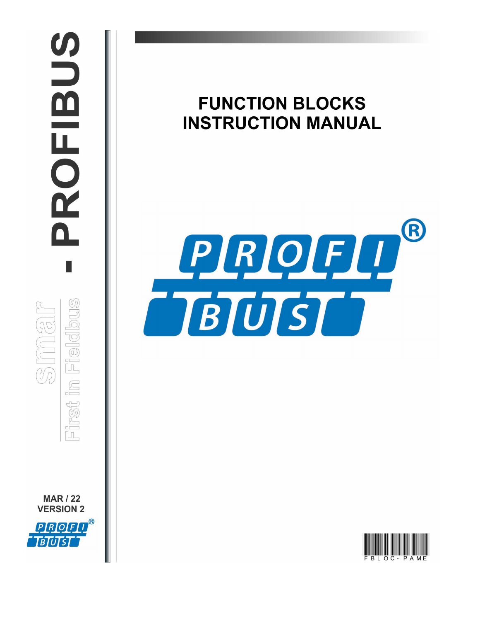# PROFIBUS П First in Fieldbus **MAR / 22 VERSION 2** PROFI **BIUTSI**

# **FUNCTION BLOCKS INSTRUCTION MANUAL**



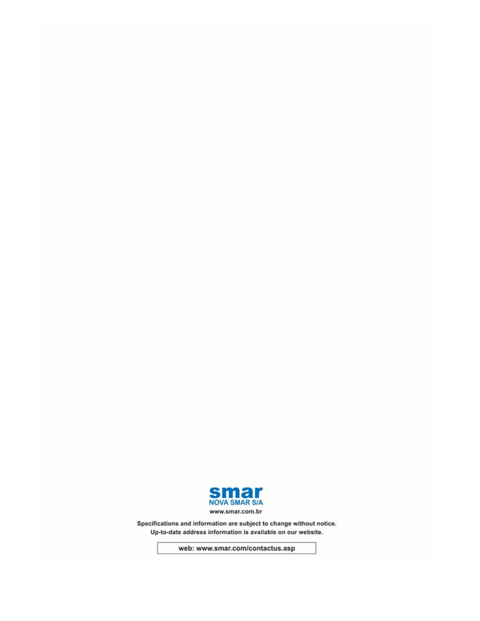

Specifications and information are subject to change without notice. Up-to-date address information is available on our website.

web: www.smar.com/contactus.asp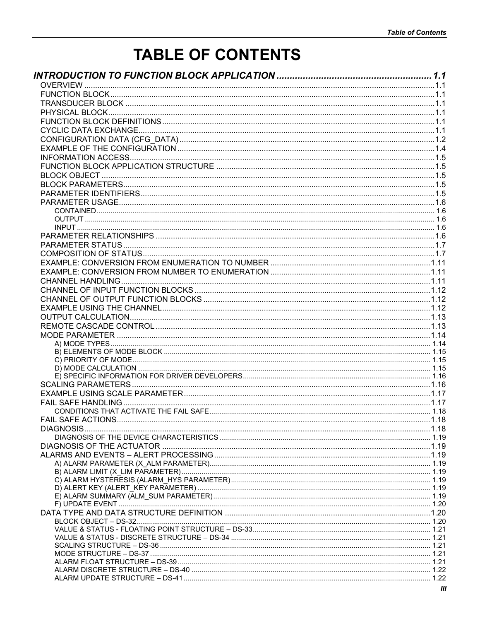# **TABLE OF CONTENTS**

| FAIL SAFF ACTIONS |  |
|-------------------|--|
|                   |  |
|                   |  |
|                   |  |
|                   |  |
|                   |  |
|                   |  |
|                   |  |
|                   |  |
|                   |  |
|                   |  |
|                   |  |
|                   |  |
|                   |  |
|                   |  |
|                   |  |
|                   |  |
|                   |  |
|                   |  |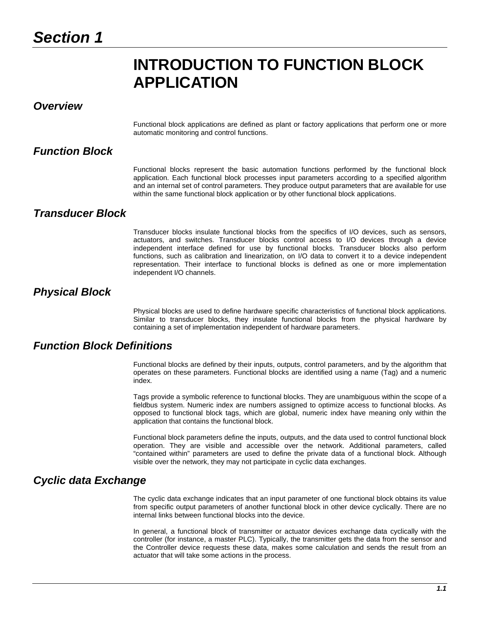# **INTRODUCTION TO FUNCTION BLOCK APPLICATION**

# *Overview*

Functional block applications are defined as plant or factory applications that perform one or more automatic monitoring and control functions.

# *Function Block*

Functional blocks represent the basic automation functions performed by the functional block application. Each functional block processes input parameters according to a specified algorithm and an internal set of control parameters. They produce output parameters that are available for use within the same functional block application or by other functional block applications.

# *Transducer Block*

Transducer blocks insulate functional blocks from the specifics of I/O devices, such as sensors, actuators, and switches. Transducer blocks control access to I/O devices through a device independent interface defined for use by functional blocks. Transducer blocks also perform functions, such as calibration and linearization, on I/O data to convert it to a device independent representation. Their interface to functional blocks is defined as one or more implementation independent I/O channels.

# *Physical Block*

Physical blocks are used to define hardware specific characteristics of functional block applications. Similar to transducer blocks, they insulate functional blocks from the physical hardware by containing a set of implementation independent of hardware parameters.

# *Function Block Definitions*

Functional blocks are defined by their inputs, outputs, control parameters, and by the algorithm that operates on these parameters. Functional blocks are identified using a name (Tag) and a numeric index.

Tags provide a symbolic reference to functional blocks. They are unambiguous within the scope of a fieldbus system. Numeric index are numbers assigned to optimize access to functional blocks. As opposed to functional block tags, which are global, numeric index have meaning only within the application that contains the functional block.

Functional block parameters define the inputs, outputs, and the data used to control functional block operation. They are visible and accessible over the network. Additional parameters, called "contained within" parameters are used to define the private data of a functional block. Although visible over the network, they may not participate in cyclic data exchanges.

# *Cyclic data Exchange*

The cyclic data exchange indicates that an input parameter of one functional block obtains its value from specific output parameters of another functional block in other device cyclically. There are no internal links between functional blocks into the device.

In general, a functional block of transmitter or actuator devices exchange data cyclically with the controller (for instance, a master PLC). Typically, the transmitter gets the data from the sensor and the Controller device requests these data, makes some calculation and sends the result from an actuator that will take some actions in the process.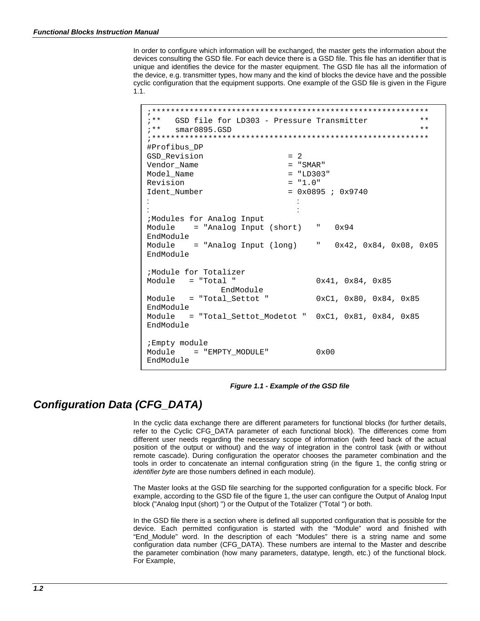In order to configure which information will be exchanged, the master gets the information about the devices consulting the GSD file. For each device there is a GSD file. This file has an identifier that is unique and identifies the device for the master equipment. The GSD file has all the information of the device, e.g. transmitter types, how many and the kind of blocks the device have and the possible cyclic configuration that the equipment supports. One example of the GSD file is given in the Figure 1.1.

;\*\*\*\*\*\*\*\*\*\*\*\*\*\*\*\*\*\*\*\*\*\*\*\*\*\*\*\*\*\*\*\*\*\*\*\*\*\*\*\*\*\*\*\*\*\*\*\*\*\*\*\*\*\*\*\*\*\*\* GSD file for  $LD303 -$  Pressure Transmitter \*\*<br>smar0895 GSD \*\* ; \*\* smar0895.GSD  $^{\star\star}$ ;\*\*\*\*\*\*\*\*\*\*\*\*\*\*\*\*\*\*\*\*\*\*\*\*\*\*\*\*\*\*\*\*\*\*\*\*\*\*\*\*\*\*\*\*\*\*\*\*\*\*\*\*\*\*\*\*\*\*\* #Profibus\_DP GSD\_Revision = 2 Vendor\_Name = "SMAR"  $Model\_Name$  = "LD30<br>Revision = "1.0" Revision<br>Ident Number  $= 0x0895$  ; 0x9740 : the set of the set of the set of the set of the set of the set of the set of the set of the set of the set of the set of the set of the set of the set of the set of the set of the set of the set of the set of the set of : the set of the set of the set of the set of the set of the set of the set of the set of the set of the set of the set of the set of the set of the set of the set of the set of the set of the set of the set of the set of ;Modules for Analog Input = "Analog Input (short) " 0x94 EndModule  $=$  "Analog Input (long)  $=$  0x42, 0x84, 0x08, 0x05 EndModule ;Module for Totalizer Module = "Total " 0x41, 0x84, 0x85 EndModule<br>" Total Settot" = Module = "Total Settot "  $0xC1$ ,  $0x80$ ,  $0x84$ ,  $0x85$ EndModule Module = "Total Settot Modetot "  $0xC1$ ,  $0x81$ ,  $0x84$ ,  $0x85$ EndModule ;Empty module Module = "EMPTY\_MODULE" 0x00 EndModule

### *Figure 1.1 - Example of the GSD file*

# *Configuration Data (CFG\_DATA)*

In the cyclic data exchange there are different parameters for functional blocks (for further details, refer to the Cyclic CFG\_DATA parameter of each functional block). The differences come from different user needs regarding the necessary scope of information (with feed back of the actual position of the output or without) and the way of integration in the control task (with or without remote cascade). During configuration the operator chooses the parameter combination and the tools in order to concatenate an internal configuration string (in the figure 1, the config string or *identifier byte* are those numbers defined in each module).

The Master looks at the GSD file searching for the supported configuration for a specific block. For example, according to the GSD file of the figure 1, the user can configure the Output of Analog Input block ("Analog Input (short) ") or the Output of the Totalizer ("Total ") or both.

In the GSD file there is a section where is defined all supported configuration that is possible for the device. Each permitted configuration is started with the "Module" word and finished with "End\_Module" word. In the description of each "Modules" there is a string name and some configuration data number (CFG\_DATA). These numbers are internal to the Master and describe the parameter combination (how many parameters, datatype, length, etc.) of the functional block. For Example,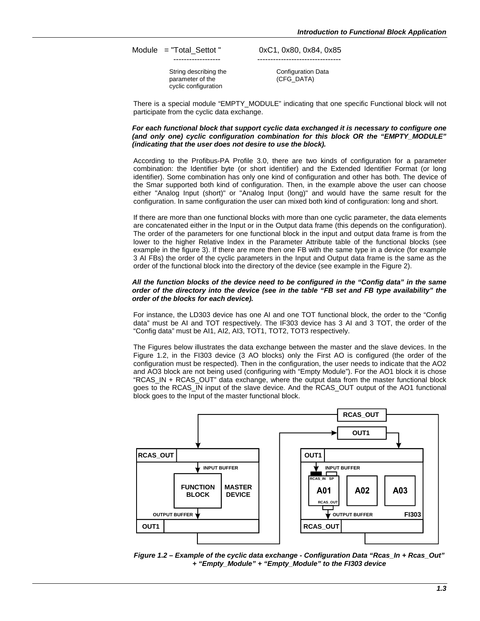Module = "Total Settot "  $0xC1, 0x80, 0x84, 0x85$ 

String describing the parameter of the cyclic configuration

------------------ --------------------------------

Configuration Data (CFG\_DATA)

There is a special module "EMPTY\_MODULE" indicating that one specific Functional block will not participate from the cyclic data exchange.

#### *For each functional block that support cyclic data exchanged it is necessary to configure one (and only one) cyclic configuration combination for this block OR the "EMPTY\_MODULE" (indicating that the user does not desire to use the block).*

According to the Profibus-PA Profile 3.0, there are two kinds of configuration for a parameter combination: the Identifier byte (or short identifier) and the Extended Identifier Format (or long identifier). Some combination has only one kind of configuration and other has both. The device of the Smar supported both kind of configuration. Then, in the example above the user can choose either "Analog Input (short)" or "Analog Input (long)" and would have the same result for the configuration. In same configuration the user can mixed both kind of configuration: long and short.

If there are more than one functional blocks with more than one cyclic parameter, the data elements are concatenated either in the Input or in the Output data frame (this depends on the configuration). The order of the parameters for one functional block in the input and output data frame is from the lower to the higher Relative Index in the Parameter Attribute table of the functional blocks (see example in the figure 3). If there are more then one FB with the same type in a device (for example 3 AI FBs) the order of the cyclic parameters in the Input and Output data frame is the same as the order of the functional block into the directory of the device (see example in the Figure 2).

#### *All the function blocks of the device need to be configured in the "Config data" in the same order of the directory into the device (see in the table "FB set and FB type availability" the order of the blocks for each device).*

For instance, the LD303 device has one AI and one TOT functional block, the order to the "Config data" must be AI and TOT respectively. The IF303 device has 3 AI and 3 TOT, the order of the "Config data" must be AI1, AI2, AI3, TOT1, TOT2, TOT3 respectively.

The Figures below illustrates the data exchange between the master and the slave devices. In the Figure 1.2, in the FI303 device (3 AO blocks) only the First AO is configured (the order of the configuration must be respected). Then in the configuration, the user needs to indicate that the AO2 and AO3 block are not being used (configuring with "Empty Module"). For the AO1 block it is chose "RCAS\_IN + RCAS\_OUT" data exchange, where the output data from the master functional block goes to the RCAS\_IN input of the slave device. And the RCAS\_OUT output of the AO1 functional block goes to the Input of the master functional block.



*Figure 1.2 – Example of the cyclic data exchange - Configuration Data "Rcas\_In + Rcas\_Out" + "Empty\_Module" + "Empty\_Module" to the FI303 device*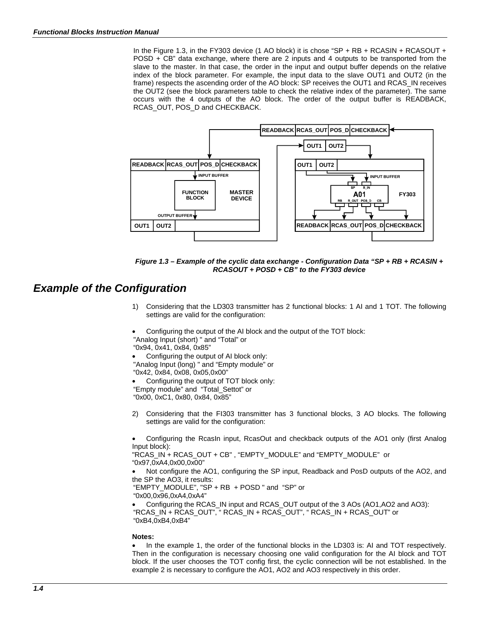In the Figure 1.3, in the FY303 device (1 AO block) it is chose "SP + RB + RCASIN + RCASOUT + POSD + CB" data exchange, where there are 2 inputs and 4 outputs to be transported from the slave to the master. In that case, the order in the input and output buffer depends on the relative index of the block parameter. For example, the input data to the slave OUT1 and OUT2 (in the frame) respects the ascending order of the AO block: SP receives the OUT1 and RCAS\_IN receives the OUT2 (see the block parameters table to check the relative index of the parameter). The same occurs with the 4 outputs of the AO block. The order of the output buffer is READBACK, RCAS\_OUT, POS\_D and CHECKBACK.



*Figure 1.3 – Example of the cyclic data exchange - Configuration Data "SP + RB + RCASIN + RCASOUT + POSD + CB" to the FY303 device*

# *Example of the Configuration*

- 1) Considering that the LD303 transmitter has 2 functional blocks: 1 AI and 1 TOT. The following settings are valid for the configuration:
- Configuring the output of the AI block and the output of the TOT block: "Analog Input (short) " and "Total" or

"0x94, 0x41, 0x84, 0x85"

- Configuring the output of AI block only: "Analog Input (long) " and "Empty module" or "0x42, 0x84, 0x08, 0x05,0x00"
- Configuring the output of TOT block only: "Empty module" and "Total\_Settot" or
- "0x00, 0xC1, 0x80, 0x84, 0x85"
- 2) Considering that the FI303 transmitter has 3 functional blocks, 3 AO blocks. The following settings are valid for the configuration:

• Configuring the RcasIn input, RcasOut and checkback outputs of the AO1 only (first Analog Input block):

"RCAS\_IN + RCAS\_OUT + CB" , "EMPTY\_MODULE" and "EMPTY\_MODULE" or "0x97,0xA4,0x00,0x00"

• Not configure the AO1, configuring the SP input, Readback and PosD outputs of the AO2, and the SP the AO3, it results:

```
"EMPTY_MODULE", "SP + RB + POSD " and "SP" or
"0x00,0x96,0xA4,0xA4"
```
• Configuring the RCAS\_IN input and RCAS\_OUT output of the 3 AOs (AO1,AO2 and AO3): "RCAS\_IN + RCAS\_OUT", " RCAS\_IN + RCAS\_OUT", " RCAS\_IN + RCAS\_OUT" or "0xB4,0xB4,0xB4"

### **Notes:**

• In the example 1, the order of the functional blocks in the LD303 is: AI and TOT respectively. Then in the configuration is necessary choosing one valid configuration for the AI block and TOT block. If the user chooses the TOT config first, the cyclic connection will be not established. In the example 2 is necessary to configure the AO1, AO2 and AO3 respectively in this order.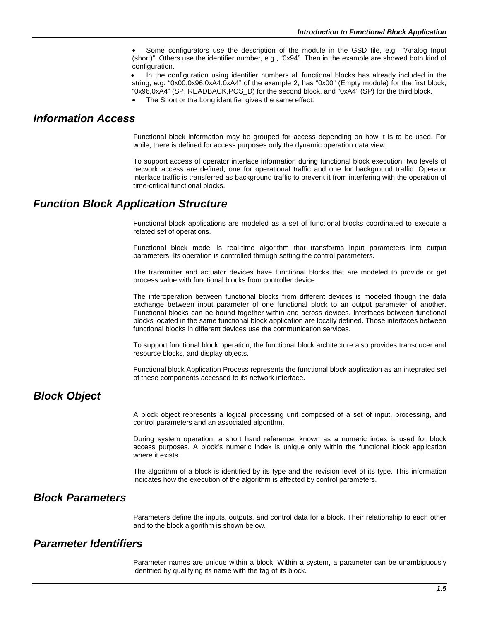Some configurators use the description of the module in the GSD file, e.g., "Analog Input (short)". Others use the identifier number, e.g., "0x94". Then in the example are showed both kind of configuration.

• In the configuration using identifier numbers all functional blocks has already included in the string, e.g. "0x00,0x96,0xA4,0xA4" of the example 2, has "0x00" (Empty module) for the first block, "0x96,0xA4" (SP, READBACK,POS\_D) for the second block, and "0xA4" (SP) for the third block.

The Short or the Long identifier gives the same effect.

# *Information Access*

Functional block information may be grouped for access depending on how it is to be used. For while, there is defined for access purposes only the dynamic operation data view.

To support access of operator interface information during functional block execution, two levels of network access are defined, one for operational traffic and one for background traffic. Operator interface traffic is transferred as background traffic to prevent it from interfering with the operation of time-critical functional blocks.

# *Function Block Application Structure*

Functional block applications are modeled as a set of functional blocks coordinated to execute a related set of operations.

Functional block model is real-time algorithm that transforms input parameters into output parameters. Its operation is controlled through setting the control parameters.

The transmitter and actuator devices have functional blocks that are modeled to provide or get process value with functional blocks from controller device.

The interoperation between functional blocks from different devices is modeled though the data exchange between input parameter of one functional block to an output parameter of another. Functional blocks can be bound together within and across devices. Interfaces between functional blocks located in the same functional block application are locally defined. Those interfaces between functional blocks in different devices use the communication services.

To support functional block operation, the functional block architecture also provides transducer and resource blocks, and display objects.

Functional block Application Process represents the functional block application as an integrated set of these components accessed to its network interface.

### *Block Object*

A block object represents a logical processing unit composed of a set of input, processing, and control parameters and an associated algorithm.

During system operation, a short hand reference, known as a numeric index is used for block access purposes. A block's numeric index is unique only within the functional block application where it exists.

The algorithm of a block is identified by its type and the revision level of its type. This information indicates how the execution of the algorithm is affected by control parameters.

# *Block Parameters*

Parameters define the inputs, outputs, and control data for a block. Their relationship to each other and to the block algorithm is shown below.

# *Parameter Identifiers*

Parameter names are unique within a block. Within a system, a parameter can be unambiguously identified by qualifying its name with the tag of its block.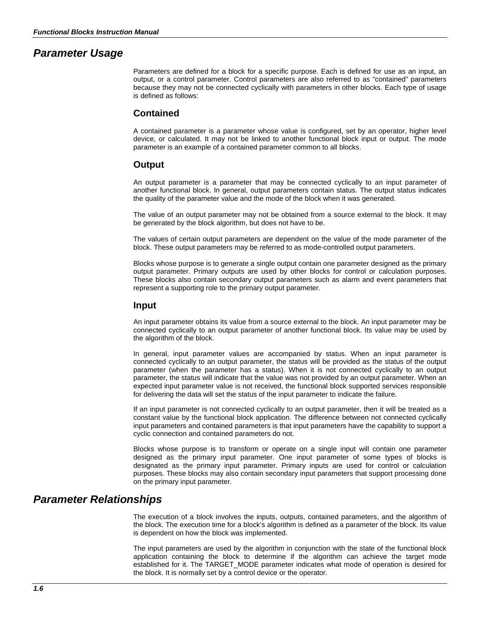# *Parameter Usage*

Parameters are defined for a block for a specific purpose. Each is defined for use as an input, an output, or a control parameter. Control parameters are also referred to as "contained" parameters because they may not be connected cyclically with parameters in other blocks. Each type of usage is defined as follows:

### **Contained**

A contained parameter is a parameter whose value is configured, set by an operator, higher level device, or calculated. It may not be linked to another functional block input or output. The mode parameter is an example of a contained parameter common to all blocks.

### **Output**

An output parameter is a parameter that may be connected cyclically to an input parameter of another functional block. In general, output parameters contain status. The output status indicates the quality of the parameter value and the mode of the block when it was generated.

The value of an output parameter may not be obtained from a source external to the block. It may be generated by the block algorithm, but does not have to be.

The values of certain output parameters are dependent on the value of the mode parameter of the block. These output parameters may be referred to as mode-controlled output parameters.

Blocks whose purpose is to generate a single output contain one parameter designed as the primary output parameter. Primary outputs are used by other blocks for control or calculation purposes. These blocks also contain secondary output parameters such as alarm and event parameters that represent a supporting role to the primary output parameter.

### **Input**

An input parameter obtains its value from a source external to the block. An input parameter may be connected cyclically to an output parameter of another functional block. Its value may be used by the algorithm of the block.

In general, input parameter values are accompanied by status. When an input parameter is connected cyclically to an output parameter, the status will be provided as the status of the output parameter (when the parameter has a status). When it is not connected cyclically to an output parameter, the status will indicate that the value was not provided by an output parameter. When an expected input parameter value is not received, the functional block supported services responsible for delivering the data will set the status of the input parameter to indicate the failure.

If an input parameter is not connected cyclically to an output parameter, then it will be treated as a constant value by the functional block application. The difference between not connected cyclically input parameters and contained parameters is that input parameters have the capability to support a cyclic connection and contained parameters do not.

Blocks whose purpose is to transform or operate on a single input will contain one parameter designed as the primary input parameter. One input parameter of some types of blocks is designated as the primary input parameter. Primary inputs are used for control or calculation purposes. These blocks may also contain secondary input parameters that support processing done on the primary input parameter.

### *Parameter Relationships*

The execution of a block involves the inputs, outputs, contained parameters, and the algorithm of the block. The execution time for a block's algorithm is defined as a parameter of the block. Its value is dependent on how the block was implemented.

The input parameters are used by the algorithm in conjunction with the state of the functional block application containing the block to determine if the algorithm can achieve the target mode established for it. The TARGET\_MODE parameter indicates what mode of operation is desired for the block. It is normally set by a control device or the operator.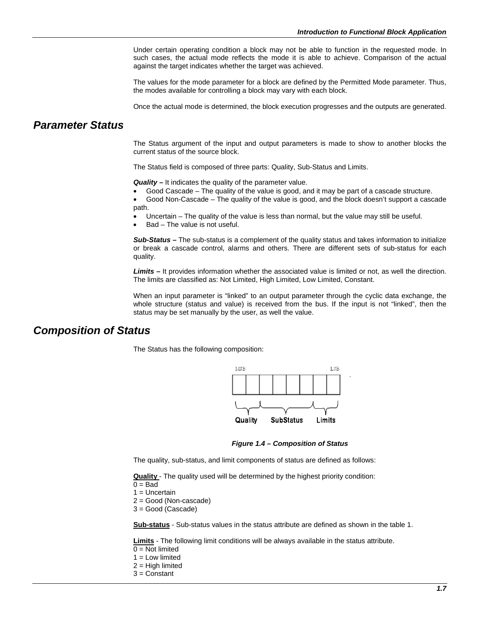Under certain operating condition a block may not be able to function in the requested mode. In such cases, the actual mode reflects the mode it is able to achieve. Comparison of the actual against the target indicates whether the target was achieved.

The values for the mode parameter for a block are defined by the Permitted Mode parameter. Thus, the modes available for controlling a block may vary with each block.

Once the actual mode is determined, the block execution progresses and the outputs are generated.

### *Parameter Status*

The Status argument of the input and output parameters is made to show to another blocks the current status of the source block.

The Status field is composed of three parts: Quality, Sub-Status and Limits.

*Quality –* It indicates the quality of the parameter value.

- Good Cascade The quality of the value is good, and it may be part of a cascade structure.
- Good Non-Cascade The quality of the value is good, and the block doesn't support a cascade path.
- Uncertain The quality of the value is less than normal, but the value may still be useful.
- Bad The value is not useful.

*Sub-Status –* The sub-status is a complement of the quality status and takes information to initialize or break a cascade control, alarms and others. There are different sets of sub-status for each quality.

*Limits –* It provides information whether the associated value is limited or not, as well the direction. The limits are classified as: Not Limited, High Limited, Low Limited, Constant.

When an input parameter is "linked" to an output parameter through the cyclic data exchange, the whole structure (status and value) is received from the bus. If the input is not "linked", then the status may be set manually by the user, as well the value.

### *Composition of Status*

The Status has the following composition:



*Figure 1.4 – Composition of Status*

The quality, sub-status, and limit components of status are defined as follows:

**Quality** - The quality used will be determined by the highest priority condition:

- $0 =$ Bad
- 1 = Uncertain

2 = Good (Non-cascade)

3 = Good (Cascade)

**Sub-status** - Sub-status values in the status attribute are defined as shown in the table 1.

**Limits** - The following limit conditions will be always available in the status attribute.

- $0 = Not$  limited
- $1 =$  Low limited
- $2 =$  High limited
- 3 = Constant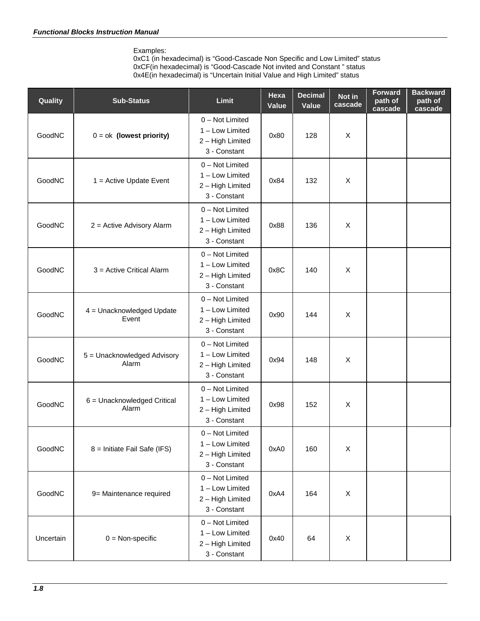Examples:

0xC1 (in hexadecimal) is "Good-Cascade Non Specific and Low Limited" status 0xCF(in hexadecimal) is "Good-Cascade Not invited and Constant " status 0x4E(in hexadecimal) is "Uncertain Initial Value and High Limited" status

| Quality       | <b>Sub-Status</b>                    | <b>Limit</b>                                                           | Hexa<br>Value | <b>Decimal</b><br>Value | Not in<br>cascade | <b>Forward</b><br>path of<br>cascade | <b>Backward</b><br>path of<br>cascade |
|---------------|--------------------------------------|------------------------------------------------------------------------|---------------|-------------------------|-------------------|--------------------------------------|---------------------------------------|
| GoodNC        | $0 = ok$ (lowest priority)           | 0 - Not Limited<br>1 - Low Limited<br>2 - High Limited<br>3 - Constant | 0x80          | 128                     | X                 |                                      |                                       |
| GoodNC        | $1 =$ Active Update Event            | 0 - Not Limited<br>1 - Low Limited<br>2 - High Limited<br>3 - Constant | 0x84          | 132                     | X                 |                                      |                                       |
| GoodNC        | 2 = Active Advisory Alarm            | 0 - Not Limited<br>1 - Low Limited<br>2 - High Limited<br>3 - Constant | 0x88          | 136                     | $\mathsf X$       |                                      |                                       |
| <b>GoodNC</b> | 3 = Active Critical Alarm            | 0 - Not Limited<br>1 - Low Limited<br>2 - High Limited<br>3 - Constant | 0x8C          | 140                     | X                 |                                      |                                       |
| GoodNC        | 4 = Unacknowledged Update<br>Event   | 0 - Not Limited<br>1 - Low Limited<br>2 - High Limited<br>3 - Constant | 0x90          | 144                     | X                 |                                      |                                       |
| GoodNC        | 5 = Unacknowledged Advisory<br>Alarm | 0 - Not Limited<br>1 - Low Limited<br>2 - High Limited<br>3 - Constant | 0x94          | 148                     | X                 |                                      |                                       |
| GoodNC        | 6 = Unacknowledged Critical<br>Alarm | 0 - Not Limited<br>1 - Low Limited<br>2 - High Limited<br>3 - Constant | 0x98          | 152                     | X                 |                                      |                                       |
| GoodNC        | 8 = Initiate Fail Safe (IFS)         | 0 - Not Limited<br>1 - Low Limited<br>2 - High Limited<br>3 - Constant | 0xA0          | 160                     | $\mathsf X$       |                                      |                                       |
| GoodNC        | 9= Maintenance required              | 0 - Not Limited<br>1 - Low Limited<br>2 - High Limited<br>3 - Constant | 0xA4          | 164                     | $\mathsf X$       |                                      |                                       |
| Uncertain     | $0 = \text{Non-specific}$            | 0 - Not Limited<br>1 - Low Limited<br>2 - High Limited<br>3 - Constant | 0x40          | 64                      | X                 |                                      |                                       |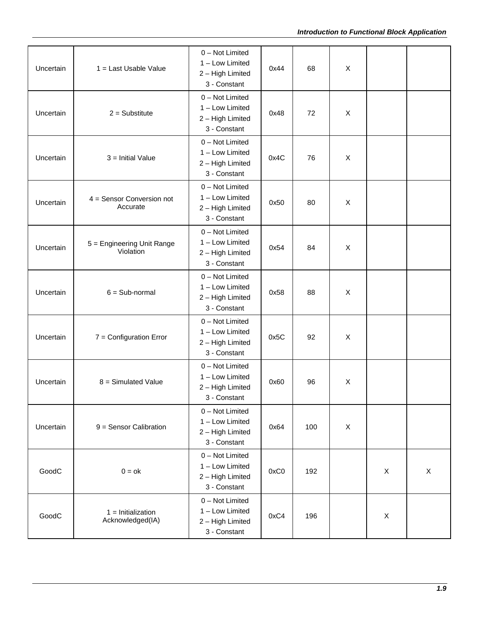| Uncertain | 1 = Last Usable Value                    | 0 - Not Limited<br>1 - Low Limited<br>2 - High Limited<br>3 - Constant | 0x44 | 68  | X              |             |   |
|-----------|------------------------------------------|------------------------------------------------------------------------|------|-----|----------------|-------------|---|
| Uncertain | $2 =$ Substitute                         | 0 - Not Limited<br>1 - Low Limited<br>2 - High Limited<br>3 - Constant | 0x48 | 72  | X              |             |   |
| Uncertain | $3 =$ Initial Value                      | 0 - Not Limited<br>1 - Low Limited<br>2 - High Limited<br>3 - Constant | 0x4C | 76  | X              |             |   |
| Uncertain | $4 =$ Sensor Conversion not<br>Accurate  | 0 - Not Limited<br>1 - Low Limited<br>2 - High Limited<br>3 - Constant | 0x50 | 80  | X              |             |   |
| Uncertain | 5 = Engineering Unit Range<br>Violation  | 0 - Not Limited<br>1 - Low Limited<br>2 - High Limited<br>3 - Constant | 0x54 | 84  | $\pmb{\times}$ |             |   |
| Uncertain | $6 = Sub-normal$                         | 0 - Not Limited<br>1 - Low Limited<br>2 - High Limited<br>3 - Constant | 0x58 | 88  | X              |             |   |
| Uncertain | $7 =$ Configuration Error                | 0 - Not Limited<br>1 - Low Limited<br>2 - High Limited<br>3 - Constant | 0x5C | 92  | X              |             |   |
| Uncertain | $8 =$ Simulated Value                    | 0 - Not Limited<br>1 - Low Limited<br>2 - High Limited<br>3 - Constant | 0x60 | 96  | X              |             |   |
| Uncertain | $9 =$ Sensor Calibration                 | 0 - Not Limited<br>1 - Low Limited<br>2 - High Limited<br>3 - Constant | 0x64 | 100 | X              |             |   |
| GoodC     | $0 = ok$                                 | 0 - Not Limited<br>1 - Low Limited<br>2 - High Limited<br>3 - Constant | 0xC0 | 192 |                | $\mathsf X$ | X |
| GoodC     | $1 =$ Initialization<br>Acknowledged(IA) | 0 - Not Limited<br>1 - Low Limited<br>2 - High Limited<br>3 - Constant | 0xC4 | 196 |                | $\mathsf X$ |   |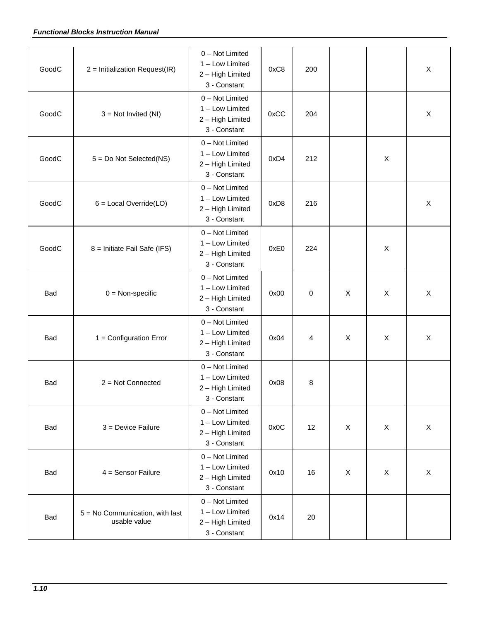### *Functional Blocks Instruction Manual*

| GoodC      | 2 = Initialization Request(IR)                  | 0 - Not Limited<br>1 - Low Limited<br>2 - High Limited<br>3 - Constant | 0xC8 | 200 |   |                           | X |
|------------|-------------------------------------------------|------------------------------------------------------------------------|------|-----|---|---------------------------|---|
| GoodC      | $3 = Not Invited (NI)$                          | 0 - Not Limited<br>1 - Low Limited<br>2 - High Limited<br>3 - Constant | 0xCC | 204 |   |                           | X |
| GoodC      | $5 = Do$ Not Selected(NS)                       | 0 - Not Limited<br>1 - Low Limited<br>2 - High Limited<br>3 - Constant | 0xD4 | 212 |   | X                         |   |
| GoodC      | $6 =$ Local Override(LO)                        | 0 - Not Limited<br>1 - Low Limited<br>2 - High Limited<br>3 - Constant | 0xD8 | 216 |   |                           | X |
| GoodC      | 8 = Initiate Fail Safe (IFS)                    | 0 - Not Limited<br>1 - Low Limited<br>2 - High Limited<br>3 - Constant | 0xE0 | 224 |   | $\mathsf{X}$              |   |
| Bad        | $0 = \text{Non-specific}$                       | 0 - Not Limited<br>1 - Low Limited<br>2 - High Limited<br>3 - Constant | 0x00 | 0   | X | $\boldsymbol{\mathsf{X}}$ | X |
| <b>Bad</b> | $1 =$ Configuration Error                       | 0 - Not Limited<br>1 - Low Limited<br>2 - High Limited<br>3 - Constant | 0x04 | 4   | X | $\boldsymbol{\mathsf{X}}$ | X |
| <b>Bad</b> | $2 = Not Connected$                             | 0 - Not Limited<br>1 - Low Limited<br>2 - High Limited<br>3 - Constant | 0x08 | 8   |   |                           |   |
| Bad        | $3 =$ Device Failure                            | 0 - Not Limited<br>1 - Low Limited<br>2 - High Limited<br>3 - Constant | 0x0C | 12  | X | $\boldsymbol{\mathsf{X}}$ | X |
| Bad        | $4 =$ Sensor Failure                            | 0 - Not Limited<br>1 - Low Limited<br>2 - High Limited<br>3 - Constant | 0x10 | 16  | X | $\boldsymbol{\mathsf{X}}$ | X |
| Bad        | 5 = No Communication, with last<br>usable value | 0 - Not Limited<br>1 - Low Limited<br>2 - High Limited<br>3 - Constant | 0x14 | 20  |   |                           |   |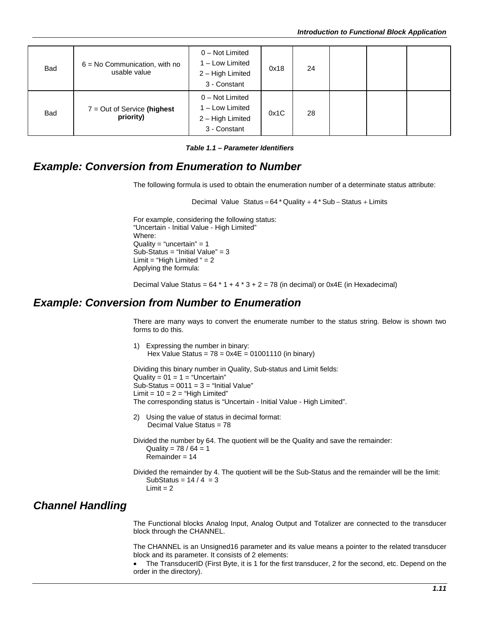| <b>Bad</b> | $6 = No$ Communication, with no<br>usable value | 0 - Not Limited<br>1 - Low Limited<br>2 - High Limited<br>3 - Constant   | 0x18 | 24 |  |  |
|------------|-------------------------------------------------|--------------------------------------------------------------------------|------|----|--|--|
| <b>Bad</b> | $7 = Out of Service (highest)$<br>priority)     | $0 - Not Limited$<br>1 - Low Limited<br>2 - High Limited<br>3 - Constant | 0x1C | 28 |  |  |

*Table 1.1 – Parameter Identifiers*

# *Example: Conversion from Enumeration to Number*

The following formula is used to obtain the enumeration number of a determinate status attribute:

Decimal Value Status = 64 \* Quality + 4 \* Sub − Status + Limits

For example, considering the following status: "Uncertain - Initial Value - High Limited" Where: Quality = "uncertain" =  $1$ Sub-Status = "Initial Value" = 3 Limit = "High Limited " =  $2$ Applying the formula:

Decimal Value Status =  $64 * 1 + 4 * 3 + 2 = 78$  (in decimal) or 0x4E (in Hexadecimal)

# *Example: Conversion from Number to Enumeration*

There are many ways to convert the enumerate number to the status string. Below is shown two forms to do this.

1) Expressing the number in binary: Hex Value Status =  $78 = 0 \times 4E = 01001110$  (in binary)

Dividing this binary number in Quality, Sub-status and Limit fields: Quality =  $01 = 1$  = "Uncertain" Sub-Status =  $0011 = 3$  = "Initial Value" Limit =  $10 = 2$  = "High Limited" The corresponding status is "Uncertain - Initial Value - High Limited".

- 2) Using the value of status in decimal format: Decimal Value Status = 78
- Divided the number by 64. The quotient will be the Quality and save the remainder: Quality =  $78 / 64 = 1$ Remainder = 14
- Divided the remainder by 4. The quotient will be the Sub-Status and the remainder will be the limit: SubStatus =  $14/4 = 3$  $Limit = 2$

# *Channel Handling*

The Functional blocks Analog Input, Analog Output and Totalizer are connected to the transducer block through the CHANNEL.

The CHANNEL is an Unsigned16 parameter and its value means a pointer to the related transducer block and its parameter. It consists of 2 elements:

The TransducerID (First Byte, it is 1 for the first transducer, 2 for the second, etc. Depend on the order in the directory).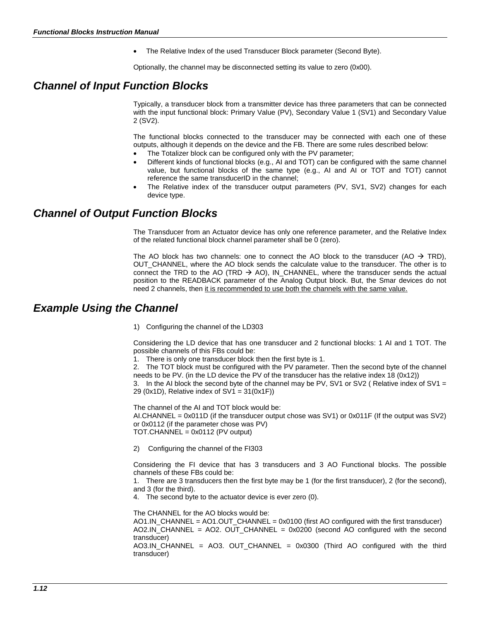• The Relative Index of the used Transducer Block parameter (Second Byte).

Optionally, the channel may be disconnected setting its value to zero (0x00).

# *Channel of Input Function Blocks*

Typically, a transducer block from a transmitter device has three parameters that can be connected with the input functional block: Primary Value (PV), Secondary Value 1 (SV1) and Secondary Value 2 (SV2).

The functional blocks connected to the transducer may be connected with each one of these outputs, although it depends on the device and the FB. There are some rules described below:

- The Totalizer block can be configured only with the PV parameter;
- Different kinds of functional blocks (e.g., AI and TOT) can be configured with the same channel value, but functional blocks of the same type (e.g., AI and AI or TOT and TOT) cannot reference the same transducerID in the channel;
- The Relative index of the transducer output parameters (PV, SV1, SV2) changes for each device type.

# *Channel of Output Function Blocks*

The Transducer from an Actuator device has only one reference parameter, and the Relative Index of the related functional block channel parameter shall be 0 (zero).

The AO block has two channels: one to connect the AO block to the transducer (AO  $\rightarrow$  TRD), OUT\_CHANNEL, where the AO block sends the calculate value to the transducer. The other is to connect the TRD to the AO (TRD  $\rightarrow$  AO), IN\_CHANNEL, where the transducer sends the actual position to the READBACK parameter of the Analog Output block. But, the Smar devices do not need 2 channels, then it is recommended to use both the channels with the same value.

# *Example Using the Channel*

1) Configuring the channel of the LD303

Considering the LD device that has one transducer and 2 functional blocks: 1 AI and 1 TOT. The possible channels of this FBs could be:

1. There is only one transducer block then the first byte is 1.

2. The TOT block must be configured with the PV parameter. Then the second byte of the channel needs to be PV. (in the LD device the PV of the transducer has the relative index 18 (0x12))

3. In the AI block the second byte of the channel may be PV, SV1 or SV2 (Relative index of SV1 = 29 (0x1D), Relative index of  $SV1 = 31(0x1F)$ )

The channel of the AI and TOT block would be: AI.CHANNEL =  $0x011D$  (if the transducer output chose was SV1) or  $0x011F$  (If the output was SV2) or 0x0112 (if the parameter chose was PV) TOT.CHANNEL = 0x0112 (PV output)

2) Configuring the channel of the FI303

Considering the FI device that has 3 transducers and 3 AO Functional blocks. The possible channels of these FBs could be:

1. There are 3 transducers then the first byte may be 1 (for the first transducer), 2 (for the second), and 3 (for the third).

4. The second byte to the actuator device is ever zero (0).

The CHANNEL for the AO blocks would be:

AO1.IN\_CHANNEL = AO1.OUT\_CHANNEL = 0x0100 (first AO configured with the first transducer) AO2.IN\_CHANNEL = AO2. OUT\_CHANNEL = 0x0200 (second AO configured with the second transducer)

AO3.IN\_CHANNEL = AO3. OUT\_CHANNEL = 0x0300 (Third AO configured with the third transducer)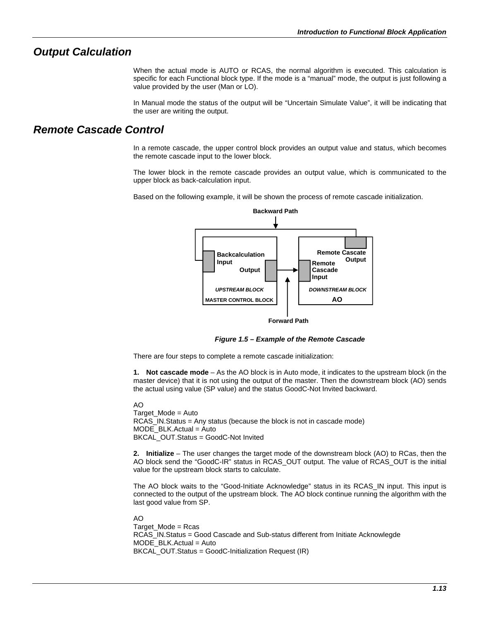### *Output Calculation*

When the actual mode is AUTO or RCAS, the normal algorithm is executed. This calculation is specific for each Functional block type. If the mode is a "manual" mode, the output is just following a value provided by the user (Man or LO).

In Manual mode the status of the output will be "Uncertain Simulate Value", it will be indicating that the user are writing the output.

# *Remote Cascade Control*

In a remote cascade, the upper control block provides an output value and status, which becomes the remote cascade input to the lower block.

The lower block in the remote cascade provides an output value, which is communicated to the upper block as back-calculation input.

Based on the following example, it will be shown the process of remote cascade initialization.



**Forward Path**

*Figure 1.5 – Example of the Remote Cascade*

There are four steps to complete a remote cascade initialization:

**1. Not cascade mode** – As the AO block is in Auto mode, it indicates to the upstream block (in the master device) that it is not using the output of the master. Then the downstream block (AO) sends the actual using value (SP value) and the status GoodC-Not Invited backward.

#### AO

Target\_Mode = Auto RCAS\_IN.Status = Any status (because the block is not in cascade mode)  $MODE$  BLK.Actual = Auto BKCAL\_OUT.Status = GoodC-Not Invited

**2. Initialize** – The user changes the target mode of the downstream block (AO) to RCas, then the AO block send the "GoodC-IR" status in RCAS\_OUT output. The value of RCAS\_OUT is the initial value for the upstream block starts to calculate.

The AO block waits to the "Good-Initiate Acknowledge" status in its RCAS\_IN input. This input is connected to the output of the upstream block. The AO block continue running the algorithm with the last good value from SP.

#### AO

Target\_Mode = Rcas RCAS\_IN.Status = Good Cascade and Sub-status different from Initiate Acknowlegde MODE\_BLK.Actual = Auto BKCAL\_OUT.Status = GoodC-Initialization Request (IR)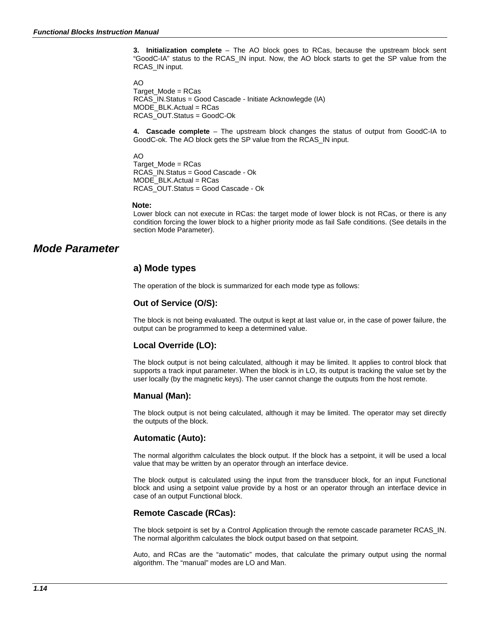**3. Initialization complete** – The AO block goes to RCas, because the upstream block sent "GoodC-IA" status to the RCAS\_IN input. Now, the AO block starts to get the SP value from the RCAS\_IN input.

AO

Target  $Mode = RCas$ RCAS\_IN.Status = Good Cascade - Initiate Acknowlegde (IA) MODE\_BLK.Actual = RCas RCAS\_OUT.Status = GoodC-Ok

**4. Cascade complete** – The upstream block changes the status of output from GoodC-IA to GoodC-ok. The AO block gets the SP value from the RCAS\_IN input.

AO

Target\_Mode = RCas RCAS\_IN.Status = Good Cascade - Ok MODE\_BLK.Actual = RCas RCAS\_OUT.Status = Good Cascade - Ok

#### **Note:**

Lower block can not execute in RCas: the target mode of lower block is not RCas, or there is any condition forcing the lower block to a higher priority mode as fail Safe conditions. (See details in the section Mode Parameter).

# *Mode Parameter*

### **a) Mode types**

The operation of the block is summarized for each mode type as follows:

### **Out of Service (O/S):**

The block is not being evaluated. The output is kept at last value or, in the case of power failure, the output can be programmed to keep a determined value.

### **Local Override (LO):**

The block output is not being calculated, although it may be limited. It applies to control block that supports a track input parameter. When the block is in LO, its output is tracking the value set by the user locally (by the magnetic keys). The user cannot change the outputs from the host remote.

### **Manual (Man):**

The block output is not being calculated, although it may be limited. The operator may set directly the outputs of the block.

### **Automatic (Auto):**

The normal algorithm calculates the block output. If the block has a setpoint, it will be used a local value that may be written by an operator through an interface device.

The block output is calculated using the input from the transducer block, for an input Functional block and using a setpoint value provide by a host or an operator through an interface device in case of an output Functional block.

### **Remote Cascade (RCas):**

The block setpoint is set by a Control Application through the remote cascade parameter RCAS\_IN. The normal algorithm calculates the block output based on that setpoint.

Auto, and RCas are the "automatic" modes, that calculate the primary output using the normal algorithm. The "manual" modes are LO and Man.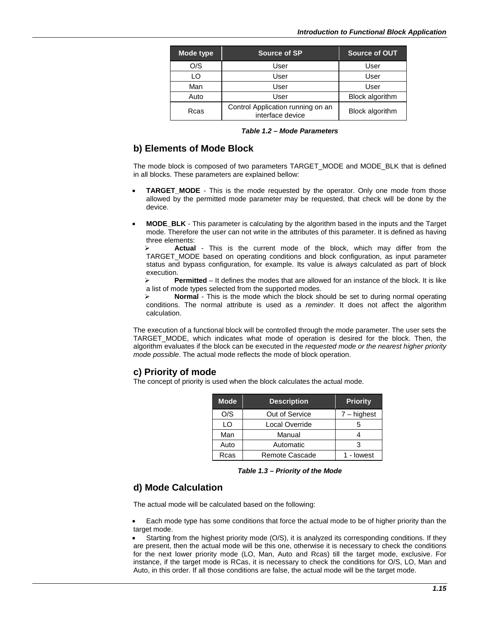| Mode type                                                     | <b>Source of SP</b> | Source of OUT   |
|---------------------------------------------------------------|---------------------|-----------------|
| O/S                                                           | User                | User            |
| LO                                                            | User                | User            |
| Man                                                           | User                | User            |
| Auto                                                          | User                | Block algorithm |
| Control Application running on an<br>Rcas<br>interface device |                     | Block algorithm |

*Table 1.2 – Mode Parameters*

### **b) Elements of Mode Block**

The mode block is composed of two parameters TARGET\_MODE and MODE\_BLK that is defined in all blocks. These parameters are explained bellow:

- **TARGET\_MODE** This is the mode requested by the operator. Only one mode from those allowed by the permitted mode parameter may be requested, that check will be done by the device.
- **MODE\_BLK**  This parameter is calculating by the algorithm based in the inputs and the Target mode. Therefore the user can not write in the attributes of this parameter. It is defined as having three elements:

 **Actual** - This is the current mode of the block, which may differ from the TARGET\_MODE based on operating conditions and block configuration, as input parameter status and bypass configuration, for example. Its value is *always* calculated as part of block execution.

 **Permitted** – It defines the modes that are allowed for an instance of the block. It is like a list of mode types selected from the supported modes.<br>
Normal - This is the mode which the block sh

 **Normal** - This is the mode which the block should be set to during normal operating conditions. The normal attribute is used as a *reminder*. It does not affect the algorithm calculation.

The execution of a functional block will be controlled through the mode parameter. The user sets the TARGET\_MODE, which indicates what mode of operation is desired for the block. Then, the algorithm evaluates if the block can be executed in the *requested mode or the nearest higher priority mode possible*. The actual mode reflects the mode of block operation.

### **c) Priority of mode**

The concept of priority is used when the block calculates the actual mode.

| <b>Mode</b> | <b>Description</b> | <b>Priority</b> |
|-------------|--------------------|-----------------|
| O/S         | Out of Service     | $7 -$ highest   |
| LO          | Local Override     | 5               |
| Man         | Manual             |                 |
| Auto        | Automatic          | з               |
| Rcas        | Remote Cascade     | 1 - lowest      |

*Table 1.3 – Priority of the Mode*

### **d) Mode Calculation**

The actual mode will be calculated based on the following:

• Each mode type has some conditions that force the actual mode to be of higher priority than the target mode.

Starting from the highest priority mode (O/S), it is analyzed its corresponding conditions. If they are present, then the actual mode will be this one, otherwise it is necessary to check the conditions for the next lower priority mode (LO, Man, Auto and Rcas) till the target mode, exclusive. For instance, if the target mode is RCas, it is necessary to check the conditions for O/S, LO, Man and Auto, in this order. If all those conditions are false, the actual mode will be the target mode.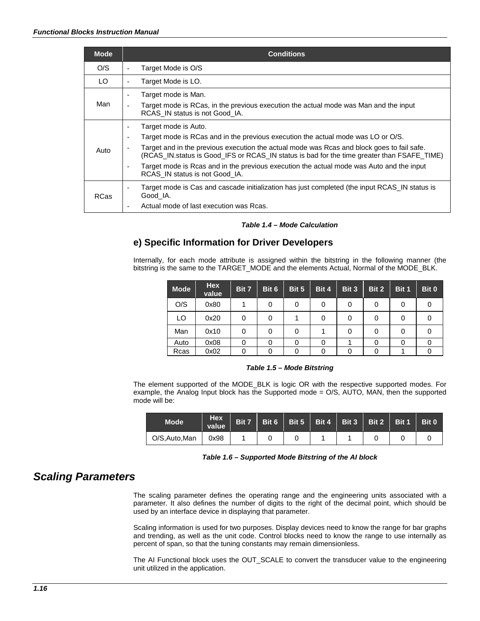| <b>Mode</b> | <b>Conditions</b>                                                                                                                                                                                                                                                                                                                                                                                                                                                                                                                                   |
|-------------|-----------------------------------------------------------------------------------------------------------------------------------------------------------------------------------------------------------------------------------------------------------------------------------------------------------------------------------------------------------------------------------------------------------------------------------------------------------------------------------------------------------------------------------------------------|
| O/S         | Target Mode is O/S                                                                                                                                                                                                                                                                                                                                                                                                                                                                                                                                  |
| LO.         | Target Mode is LO.<br>$\overline{\phantom{a}}$                                                                                                                                                                                                                                                                                                                                                                                                                                                                                                      |
| Man         | Target mode is Man.<br>$\overline{\phantom{a}}$<br>Target mode is RCas, in the previous execution the actual mode was Man and the input<br>$\overline{\phantom{a}}$<br>RCAS IN status is not Good IA.                                                                                                                                                                                                                                                                                                                                               |
| Auto        | Target mode is Auto.<br>$\overline{\phantom{a}}$<br>Target mode is RCas and in the previous execution the actual mode was LO or O/S.<br>$\overline{\phantom{a}}$<br>Target and in the previous execution the actual mode was Rcas and block goes to fail safe.<br>$\overline{\phantom{a}}$<br>(RCAS IN. status is Good IFS or RCAS IN status is bad for the time greater than FSAFE TIME)<br>Target mode is Rcas and in the previous execution the actual mode was Auto and the input<br>$\overline{\phantom{a}}$<br>RCAS IN status is not Good IA. |
| <b>RCas</b> | Target mode is Cas and cascade initialization has just completed (the input RCAS_IN status is<br>$\overline{\phantom{a}}$<br>Good IA.<br>Actual mode of last execution was Rcas.<br>٠                                                                                                                                                                                                                                                                                                                                                               |

### *Table 1.4 – Mode Calculation*

# **e) Specific Information for Driver Developers**

Internally, for each mode attribute is assigned within the bitstring in the following manner (the bitstring is the same to the TARGET\_MODE and the elements Actual, Normal of the MODE\_BLK.

| <b>Mode</b> | <b>Hex</b><br>value | Bit 7 | Bit 6 | Bit 5 | Bit 4 | Bit 3 | Bit 2 | Bit 1 | Bit 0 |
|-------------|---------------------|-------|-------|-------|-------|-------|-------|-------|-------|
| O/S         | 0x80                |       | 0     | 0     | 0     | 0     | 0     | 0     |       |
| LO          | 0x20                | 0     | 0     |       | 0     | 0     | 0     | 0     |       |
| Man         | 0x10                | 0     | 0     | 0     |       | 0     | 0     | 0     |       |
| Auto        | 0x08                | 0     | 0     |       | 0     |       |       | 0     |       |
| Rcas        | 0x02                | 0     |       |       | 0     |       |       |       |       |

### *Table 1.5 – Mode Bitstring*

The element supported of the MODE\_BLK is logic OR with the respective supported modes. For example, the Analog Input block has the Supported mode = O/S, AUTO, MAN, then the supported mode will be:

| <b>Mode</b>    | Hex<br>value | Bit 7 |  | Bit 6   Bit 5   Bit 4   Bit 3   Bit 2   Bit 1 |  | Bit 0 |
|----------------|--------------|-------|--|-----------------------------------------------|--|-------|
| O/S, Auto, Man | 0x98         |       |  |                                               |  |       |

*Table 1.6 – Supported Mode Bitstring of the AI block*

# *Scaling Parameters*

The scaling parameter defines the operating range and the engineering units associated with a parameter. It also defines the number of digits to the right of the decimal point, which should be used by an interface device in displaying that parameter.

Scaling information is used for two purposes. Display devices need to know the range for bar graphs and trending, as well as the unit code. Control blocks need to know the range to use internally as percent of span, so that the tuning constants may remain dimensionless.

The AI Functional block uses the OUT\_SCALE to convert the transducer value to the engineering unit utilized in the application.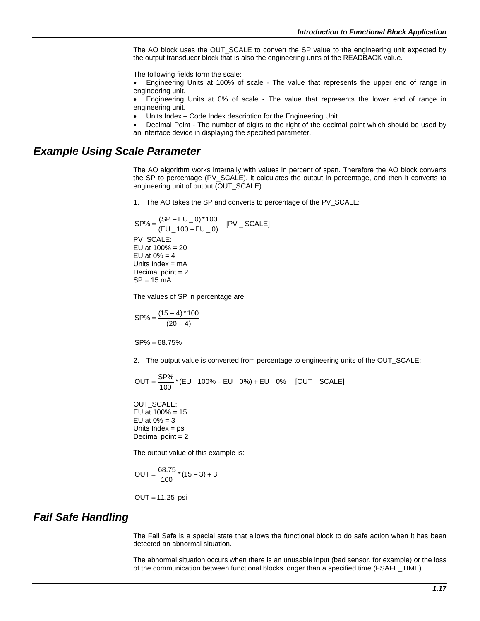The AO block uses the OUT\_SCALE to convert the SP value to the engineering unit expected by the output transducer block that is also the engineering units of the READBACK value.

The following fields form the scale:

• Engineering Units at 100% of scale - The value that represents the upper end of range in engineering unit.

• Engineering Units at 0% of scale - The value that represents the lower end of range in engineering unit.

Units Index - Code Index description for the Engineering Unit.

• Decimal Point - The number of digits to the right of the decimal point which should be used by an interface device in displaying the specified parameter.

# *Example Using Scale Parameter*

The AO algorithm works internally with values in percent of span. Therefore the AO block converts the SP to percentage (PV\_SCALE), it calculates the output in percentage, and then it converts to engineering unit of output (OUT\_SCALE).

1. The AO takes the SP and converts to percentage of the PV\_SCALE:

$$
SP\% = \frac{(SP - EU_0)^*100}{(EU_100 - EU_0)} \quad [PV_SCALE]
$$
  
PV\_SCALE:  
EU at 100% = 20  
EU at 0% = 4  
Units Index = mA  
Decimal point = 2  
SP = 15 mA

The values of SP in percentage are:

$$
SP\% = \frac{(15-4)*100}{(20-4)}
$$

 $SP% = 68.75%$ 

2. The output value is converted from percentage to engineering units of the OUT\_SCALE:

$$
OUT = \frac{SP\%}{100} * (EU_100\% - EU_0\%) + EU_0\% \quad [OUT_SCALE]
$$

OUT\_SCALE: EU at  $100% = 15$ EU at  $0\% = 3$ Units Index = psi Decimal point  $= 2$ 

The output value of this example is:

$$
OUT = \frac{68.75}{100} * (15 - 3) + 3
$$

OUT = 11.25 psi

# *Fail Safe Handling*

The Fail Safe is a special state that allows the functional block to do safe action when it has been detected an abnormal situation.

The abnormal situation occurs when there is an unusable input (bad sensor, for example) or the loss of the communication between functional blocks longer than a specified time (FSAFE\_TIME).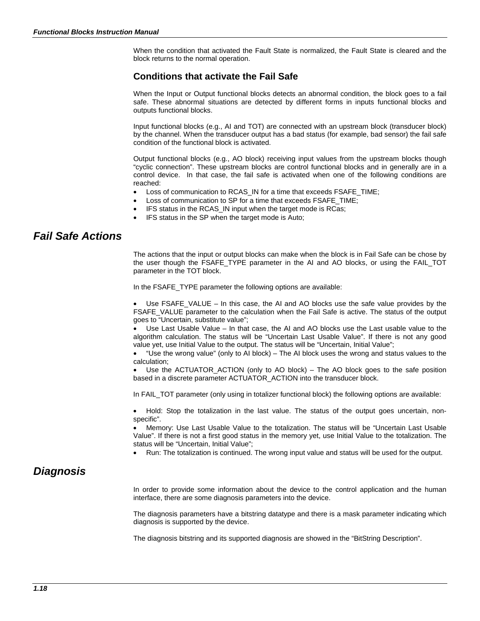When the condition that activated the Fault State is normalized, the Fault State is cleared and the block returns to the normal operation.

### **Conditions that activate the Fail Safe**

When the Input or Output functional blocks detects an abnormal condition, the block goes to a fail safe. These abnormal situations are detected by different forms in inputs functional blocks and outputs functional blocks.

Input functional blocks (e.g., AI and TOT) are connected with an upstream block (transducer block) by the channel. When the transducer output has a bad status (for example, bad sensor) the fail safe condition of the functional block is activated.

Output functional blocks (e.g., AO block) receiving input values from the upstream blocks though "cyclic connection". These upstream blocks are control functional blocks and in generally are in a control device. In that case, the fail safe is activated when one of the following conditions are reached:

- Loss of communication to RCAS IN for a time that exceeds FSAFE\_TIME;
- Loss of communication to SP for a time that exceeds FSAFE\_TIME;
- IFS status in the RCAS IN input when the target mode is RCas;
- IFS status in the SP when the target mode is Auto:

# *Fail Safe Actions*

The actions that the input or output blocks can make when the block is in Fail Safe can be chose by the user though the FSAFE\_TYPE parameter in the AI and AO blocks, or using the FAIL\_TOT parameter in the TOT block.

In the FSAFE\_TYPE parameter the following options are available:

• Use FSAFE\_VALUE – In this case, the AI and AO blocks use the safe value provides by the FSAFE\_VALUE parameter to the calculation when the Fail Safe is active. The status of the output goes to "Uncertain, substitute value";

• Use Last Usable Value – In that case, the AI and AO blocks use the Last usable value to the algorithm calculation. The status will be "Uncertain Last Usable Value". If there is not any good value yet, use Initial Value to the output. The status will be "Uncertain, Initial Value";

• "Use the wrong value" (only to AI block) – The AI block uses the wrong and status values to the calculation;

Use the ACTUATOR\_ACTION (only to AO block) – The AO block goes to the safe position based in a discrete parameter ACTUATOR\_ACTION into the transducer block.

In FAIL\_TOT parameter (only using in totalizer functional block) the following options are available:

• Hold: Stop the totalization in the last value. The status of the output goes uncertain, nonspecific".

• Memory: Use Last Usable Value to the totalization. The status will be "Uncertain Last Usable Value". If there is not a first good status in the memory yet, use Initial Value to the totalization. The status will be "Uncertain, Initial Value";

• Run: The totalization is continued. The wrong input value and status will be used for the output.

### *Diagnosis*

In order to provide some information about the device to the control application and the human interface, there are some diagnosis parameters into the device.

The diagnosis parameters have a bitstring datatype and there is a mask parameter indicating which diagnosis is supported by the device.

The diagnosis bitstring and its supported diagnosis are showed in the "BitString Description".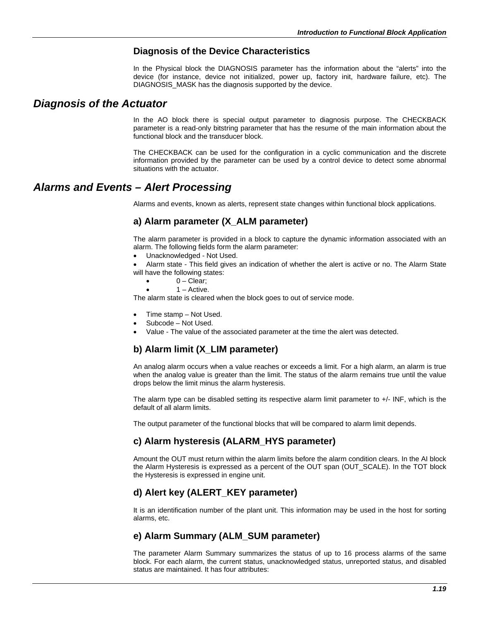### **Diagnosis of the Device Characteristics**

In the Physical block the DIAGNOSIS parameter has the information about the "alerts" into the device (for instance, device not initialized, power up, factory init, hardware failure, etc). The DIAGNOSIS MASK has the diagnosis supported by the device.

### *Diagnosis of the Actuator*

In the AO block there is special output parameter to diagnosis purpose. The CHECKBACK parameter is a read-only bitstring parameter that has the resume of the main information about the functional block and the transducer block.

The CHECKBACK can be used for the configuration in a cyclic communication and the discrete information provided by the parameter can be used by a control device to detect some abnormal situations with the actuator.

# *Alarms and Events – Alert Processing*

Alarms and events, known as alerts, represent state changes within functional block applications.

### **a) Alarm parameter (X\_ALM parameter)**

The alarm parameter is provided in a block to capture the dynamic information associated with an alarm. The following fields form the alarm parameter:

- Unacknowledged Not Used.
- Alarm state This field gives an indication of whether the alert is active or no. The Alarm State will have the following states:
	- $0 Clear;$
	- 1 Active.

The alarm state is cleared when the block goes to out of service mode.

- Time stamp Not Used.
- Subcode Not Used.
- Value The value of the associated parameter at the time the alert was detected.

### **b) Alarm limit (X\_LIM parameter)**

An analog alarm occurs when a value reaches or exceeds a limit. For a high alarm, an alarm is true when the analog value is greater than the limit. The status of the alarm remains true until the value drops below the limit minus the alarm hysteresis.

The alarm type can be disabled setting its respective alarm limit parameter to  $+/-$  INF, which is the default of all alarm limits.

The output parameter of the functional blocks that will be compared to alarm limit depends.

### **c) Alarm hysteresis (ALARM\_HYS parameter)**

Amount the OUT must return within the alarm limits before the alarm condition clears. In the AI block the Alarm Hysteresis is expressed as a percent of the OUT span (OUT\_SCALE). In the TOT block the Hysteresis is expressed in engine unit.

### **d) Alert key (ALERT\_KEY parameter)**

It is an identification number of the plant unit. This information may be used in the host for sorting alarms, etc.

### **e) Alarm Summary (ALM\_SUM parameter)**

The parameter Alarm Summary summarizes the status of up to 16 process alarms of the same block. For each alarm, the current status, unacknowledged status, unreported status, and disabled status are maintained. It has four attributes: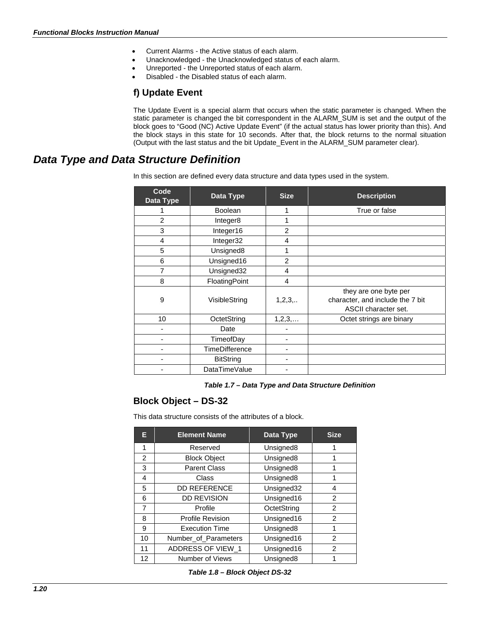- Current Alarms the Active status of each alarm.
- Unacknowledged the Unacknowledged status of each alarm.
- Unreported the Unreported status of each alarm.
- Disabled the Disabled status of each alarm.

# **f) Update Event**

The Update Event is a special alarm that occurs when the static parameter is changed. When the static parameter is changed the bit correspondent in the ALARM\_SUM is set and the output of the block goes to "Good (NC) Active Update Event" (if the actual status has lower priority than this). And the block stays in this state for 10 seconds. After that, the block returns to the normal situation (Output with the last status and the bit Update\_Event in the ALARM\_SUM parameter clear).

# *Data Type and Data Structure Definition*

In this section are defined every data structure and data types used in the system.

| Code<br>Data Type | Data Type             | <b>Size</b>    | <b>Description</b>                                                                |
|-------------------|-----------------------|----------------|-----------------------------------------------------------------------------------|
|                   | <b>Boolean</b>        | 1              | True or false                                                                     |
| $\overline{2}$    | Integer8              | 1              |                                                                                   |
| 3                 | Integer16             | $\overline{2}$ |                                                                                   |
| 4                 | Integer32             | 4              |                                                                                   |
| 5                 | Unsigned8             | 1              |                                                                                   |
| 6                 | Unsigned16            | $\overline{2}$ |                                                                                   |
| 7                 | Unsigned32            | 4              |                                                                                   |
| 8                 | FloatingPoint         | 4              |                                                                                   |
| 9                 | VisibleString         | 1,2,3,         | they are one byte per<br>character, and include the 7 bit<br>ASCII character set. |
| 10                | OctetString           | 1, 2, 3,       | Octet strings are binary                                                          |
| ٠                 | Date                  |                |                                                                                   |
|                   | TimeofDay             |                |                                                                                   |
| ٠                 | <b>TimeDifference</b> |                |                                                                                   |
|                   | <b>BitString</b>      |                |                                                                                   |
|                   | DataTimeValue         |                |                                                                                   |

### *Table 1.7 – Data Type and Data Structure Definition*

### **Block Object – DS-32**

This data structure consists of the attributes of a block.

| Е              | <b>Element Name</b>     | Data Type             | <b>Size</b>    |
|----------------|-------------------------|-----------------------|----------------|
| 1              | Reserved                | Unsigned <sub>8</sub> |                |
| $\overline{2}$ | <b>Block Object</b>     | Unsigned8             | 1              |
| 3              | <b>Parent Class</b>     | Unsigned <sub>8</sub> |                |
| 4              | Class                   | Unsigned <sub>8</sub> |                |
| 5              | <b>DD REFERENCE</b>     | Unsigned32            | 4              |
| 6              | <b>DD REVISION</b>      | Unsigned16            | $\mathcal{P}$  |
| 7              | Profile                 | OctetString           | $\overline{2}$ |
| 8              | <b>Profile Revision</b> | Unsigned16            | 2              |
| 9              | <b>Execution Time</b>   | Unsigned8             | 1              |
| 10             | Number_of_Parameters    | Unsigned16            | $\overline{2}$ |
| 11             | ADDRESS OF VIEW_1       | Unsigned16            | $\mathcal{P}$  |
| 12             | Number of Views         | Unsigned8             |                |

*Table 1.8 – Block Object DS-32*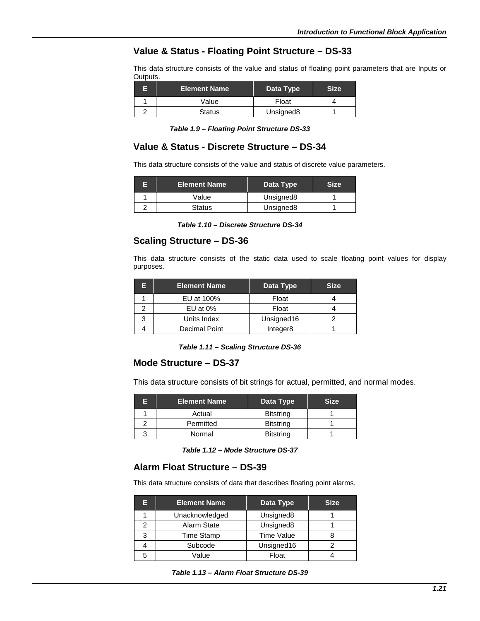### **Value & Status - Floating Point Structure – DS-33**

This data structure consists of the value and status of floating point parameters that are Inputs or Outputs.

| <b>Element Name</b> | Data Type             | <b>Size</b> |
|---------------------|-----------------------|-------------|
| Value               | Float                 |             |
| <b>Status</b>       | Unsigned <sub>8</sub> |             |

|  |  | Table 1.9 – Floating Point Structure DS-33 |  |
|--|--|--------------------------------------------|--|
|--|--|--------------------------------------------|--|

### **Value & Status - Discrete Structure – DS-34**

This data structure consists of the value and status of discrete value parameters.

| <b>Element Name</b> | Data Type             | Size |
|---------------------|-----------------------|------|
| Value               | Unsigned <sub>8</sub> |      |
| Status              | Unsigned <sub>8</sub> |      |

### **Scaling Structure – DS-36**

This data structure consists of the static data used to scale floating point values for display purposes.

| El | <b>Element Name</b>  | Data Type  | <b>Size</b> |
|----|----------------------|------------|-------------|
|    | EU at 100%           | Float      |             |
|    | EU at $0\%$          | Float      |             |
| ર  | Units Index          | Unsigned16 |             |
|    | <b>Decimal Point</b> | Integer8   |             |

*Table 1.11 – Scaling Structure DS-36*

### **Mode Structure – DS-37**

This data structure consists of bit strings for actual, permitted, and normal modes.

| Е | <b>Element Name</b> | Data Type        | <b>Size</b> |
|---|---------------------|------------------|-------------|
|   | Actual              | <b>Bitstring</b> |             |
|   | Permitted           | <b>Bitstring</b> |             |
|   | Normal              | <b>Bitstring</b> |             |

*Table 1.12 – Mode Structure DS-37*

### **Alarm Float Structure – DS-39**

This data structure consists of data that describes floating point alarms.

| E | <b>Element Name</b> | Data Type             | <b>Size</b> |
|---|---------------------|-----------------------|-------------|
|   | Unacknowledged      | Unsigned <sub>8</sub> |             |
|   | Alarm State         | Unsigned <sub>8</sub> |             |
| 3 | <b>Time Stamp</b>   | <b>Time Value</b>     |             |
|   | Subcode             | Unsigned16            |             |
| 5 | Value               | Float                 |             |

*Table 1.13 – Alarm Float Structure DS-39*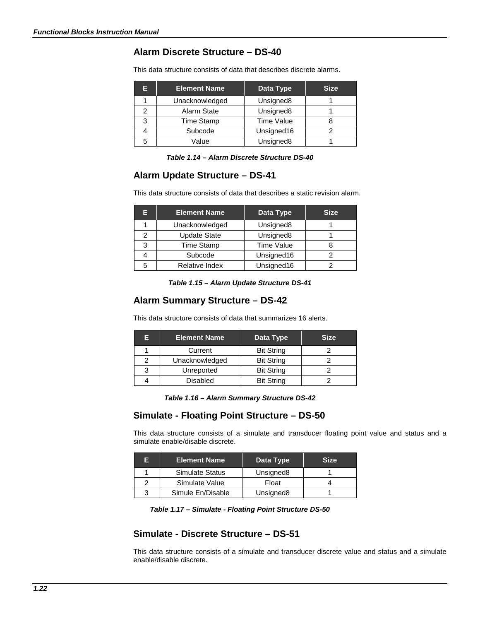# **Alarm Discrete Structure – DS-40**

This data structure consists of data that describes discrete alarms.

| Е | <b>Element Name</b> | Data Type             | <b>Size</b> |
|---|---------------------|-----------------------|-------------|
|   | Unacknowledged      | Unsigned <sub>8</sub> |             |
| 2 | Alarm State         | Unsigned8             |             |
| 3 | <b>Time Stamp</b>   | <b>Time Value</b>     |             |
|   | Subcode             | Unsigned16            |             |
| 5 | Value               | Unsigned <sub>8</sub> |             |

### **Alarm Update Structure – DS-41**

This data structure consists of data that describes a static revision alarm.

| Е | <b>Element Name</b>   | Data Type             | <b>Size</b> |
|---|-----------------------|-----------------------|-------------|
|   | Unacknowledged        | Unsigned <sub>8</sub> |             |
| っ | <b>Update State</b>   | Unsigned8             |             |
| 3 | <b>Time Stamp</b>     | <b>Time Value</b>     |             |
|   | Subcode               | Unsigned16            |             |
| 5 | <b>Relative Index</b> | Unsigned16            |             |

*Table 1.15 – Alarm Update Structure DS-41*

### **Alarm Summary Structure – DS-42**

This data structure consists of data that summarizes 16 alerts.

| Е | <b>Element Name</b> | Data Type         | <b>Size</b> |
|---|---------------------|-------------------|-------------|
|   | Current             | <b>Bit String</b> |             |
|   | Unacknowledged      | <b>Bit String</b> |             |
| 3 | Unreported          | <b>Bit String</b> |             |
|   | <b>Disabled</b>     | <b>Bit String</b> |             |

*Table 1.16 – Alarm Summary Structure DS-42*

### **Simulate - Floating Point Structure – DS-50**

This data structure consists of a simulate and transducer floating point value and status and a simulate enable/disable discrete.

| F | <b>Element Name</b>    | Data Type             | <b>Size</b> |
|---|------------------------|-----------------------|-------------|
|   | <b>Simulate Status</b> | Unsigned <sub>8</sub> |             |
|   | Simulate Value         | Float                 |             |
|   | Simule En/Disable      | Unsigned <sub>8</sub> |             |

### **Simulate - Discrete Structure – DS-51**

This data structure consists of a simulate and transducer discrete value and status and a simulate enable/disable discrete.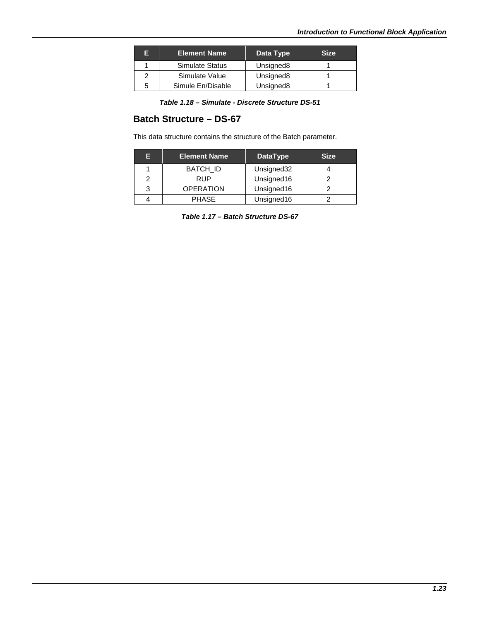| Е | <b>Element Name</b>    | Data Type             | <b>Size</b> |
|---|------------------------|-----------------------|-------------|
|   | <b>Simulate Status</b> | Unsigned <sub>8</sub> |             |
|   | Simulate Value         | Unsigned <sub>8</sub> |             |
| 5 | Simule En/Disable      | Unsigned8             |             |

*Table 1.18 – Simulate - Discrete Structure DS-51*

# **Batch Structure – DS-67**

This data structure contains the structure of the Batch parameter.

| E | <b>Element Name</b> | <b>DataType</b> | <b>Size</b> |
|---|---------------------|-----------------|-------------|
|   | <b>BATCH ID</b>     | Unsigned32      |             |
|   | RUP                 | Unsigned16      |             |
|   | <b>OPERATION</b>    | Unsigned16      |             |
|   | <b>PHASE</b>        | Unsigned16      |             |

*Table 1.17 – Batch Structure DS-67*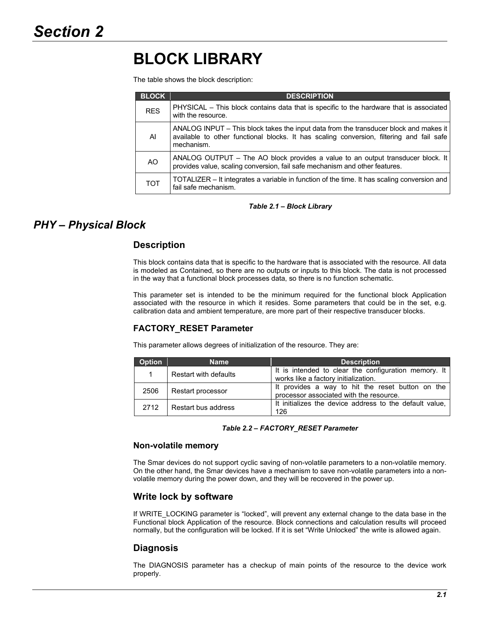# **BLOCK LIBRARY**

The table shows the block description:

| <b>BLOCK</b> | <b>DESCRIPTION</b>                                                                                                                                                                              |
|--------------|-------------------------------------------------------------------------------------------------------------------------------------------------------------------------------------------------|
| <b>RES</b>   | PHYSICAL – This block contains data that is specific to the hardware that is associated<br>with the resource.                                                                                   |
| AI           | ANALOG INPUT – This block takes the input data from the transducer block and makes it<br>available to other functional blocks. It has scaling conversion, filtering and fail safe<br>mechanism. |
| AO           | ANALOG OUTPUT $-$ The AO block provides a value to an output transducer block. It<br>provides value, scaling conversion, fail safe mechanism and other features.                                |
| <b>TOT</b>   | TOTALIZER – It integrates a variable in function of the time. It has scaling conversion and<br>fail safe mechanism.                                                                             |

### *Table 2.1 – Block Library*

# *PHY – Physical Block*

### **Description**

This block contains data that is specific to the hardware that is associated with the resource. All data is modeled as Contained, so there are no outputs or inputs to this block. The data is not processed in the way that a functional block processes data, so there is no function schematic.

This parameter set is intended to be the minimum required for the functional block Application associated with the resource in which it resides. Some parameters that could be in the set, e.g. calibration data and ambient temperature, are more part of their respective transducer blocks.

### **FACTORY\_RESET Parameter**

This parameter allows degrees of initialization of the resource. They are:

| Option | <b>Name</b>           | <b>Description</b>                                                                           |
|--------|-----------------------|----------------------------------------------------------------------------------------------|
| 1      | Restart with defaults | It is intended to clear the configuration memory. It<br>works like a factory initialization. |
| 2506   | Restart processor     | It provides a way to hit the reset button on the<br>processor associated with the resource.  |
| 2712   | Restart bus address   | It initializes the device address to the default value.<br>126                               |

*Table 2.2 – FACTORY\_RESET Parameter*

### **Non-volatile memory**

The Smar devices do not support cyclic saving of non-volatile parameters to a non-volatile memory. On the other hand, the Smar devices have a mechanism to save non-volatile parameters into a nonvolatile memory during the power down, and they will be recovered in the power up.

### **Write lock by software**

If WRITE\_LOCKING parameter is "locked", will prevent any external change to the data base in the Functional block Application of the resource. Block connections and calculation results will proceed normally, but the configuration will be locked. If it is set "Write Unlocked" the write is allowed again.

### **Diagnosis**

The DIAGNOSIS parameter has a checkup of main points of the resource to the device work properly.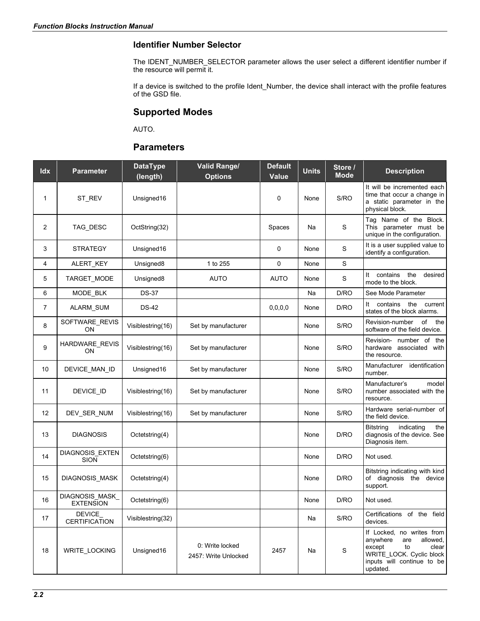### **Identifier Number Selector**

The IDENT\_NUMBER\_SELECTOR parameter allows the user select a different identifier number if the resource will permit it.

If a device is switched to the profile Ident\_Number, the device shall interact with the profile features of the GSD file.

### **Supported Modes**

AUTO.

### **Parameters**

| Idx | <b>Parameter</b>                    | <b>DataType</b><br>(length) | <b>Valid Range/</b><br><b>Options</b>   | <b>Default</b><br><b>Value</b> | <b>Units</b> | Store /<br><b>Mode</b> | <b>Description</b>                                                                                                                                      |
|-----|-------------------------------------|-----------------------------|-----------------------------------------|--------------------------------|--------------|------------------------|---------------------------------------------------------------------------------------------------------------------------------------------------------|
| 1   | ST_REV                              | Unsigned16                  |                                         | 0                              | None         | S/RO                   | It will be incremented each<br>time that occur a change in<br>a static parameter in the<br>physical block.                                              |
| 2   | TAG_DESC                            | OctString(32)               |                                         | Spaces                         | Na           | S                      | Tag Name of the Block.<br>This parameter must be<br>unique in the configuration.                                                                        |
| 3   | <b>STRATEGY</b>                     | Unsigned16                  |                                         | 0                              | None         | S                      | It is a user supplied value to<br>identify a configuration.                                                                                             |
| 4   | ALERT_KEY                           | Unsigned8                   | 1 to 255                                | 0                              | None         | S                      |                                                                                                                                                         |
| 5   | TARGET_MODE                         | Unsigned8                   | AUTO                                    | AUTO                           | None         | S                      | contains<br>the<br>desired<br>It<br>mode to the block.                                                                                                  |
| 6   | MODE BLK                            | <b>DS-37</b>                |                                         |                                | Na           | D/RO                   | See Mode Parameter                                                                                                                                      |
| 7   | ALARM_SUM                           | <b>DS-42</b>                |                                         | 0, 0, 0, 0                     | None         | D/RO                   | contains<br>the<br>current<br>It<br>states of the block alarms.                                                                                         |
| 8   | SOFTWARE_REVIS<br>ON                | Visiblestring(16)           | Set by manufacturer                     |                                | None         | S/RO                   | of<br>Revision-number<br>the<br>software of the field device.                                                                                           |
| 9   | HARDWARE_REVIS<br>ON                | Visiblestring(16)           | Set by manufacturer                     |                                | None         | S/RO                   | Revision- number of<br>the<br>hardware associated<br>with<br>the resource.                                                                              |
| 10  | DEVICE_MAN_ID                       | Unsigned16                  | Set by manufacturer                     |                                | None         | S/RO                   | Manufacturer<br>identification<br>number.                                                                                                               |
| 11  | DEVICE ID                           | Visiblestring(16)           | Set by manufacturer                     |                                | None         | S/RO                   | Manufacturer's<br>model<br>number associated with the<br>resource.                                                                                      |
| 12  | DEV_SER_NUM                         | Visiblestring(16)           | Set by manufacturer                     |                                | None         | S/RO                   | Hardware serial-number of<br>the field device.                                                                                                          |
| 13  | <b>DIAGNOSIS</b>                    | Octetstring(4)              |                                         |                                | None         | D/RO                   | <b>Bitstring</b><br>indicating<br>the<br>diagnosis of the device. See<br>Diagnosis item.                                                                |
| 14  | DIAGNOSIS_EXTEN<br>SION             | Octetstring(6)              |                                         |                                | None         | D/RO                   | Not used.                                                                                                                                               |
| 15  | DIAGNOSIS_MASK                      | Octetstring(4)              |                                         |                                | None         | D/RO                   | Bitstring indicating with kind<br>of diagnosis the device<br>support.                                                                                   |
| 16  | DIAGNOSIS_MASK_<br><b>EXTENSION</b> | Octetstring(6)              |                                         |                                | None         | D/RO                   | Not used.                                                                                                                                               |
| 17  | DEVICE<br><b>CERTIFICATION</b>      | Visiblestring(32)           |                                         |                                | Na           | S/RO                   | Certifications of the field<br>devices.                                                                                                                 |
| 18  | WRITE_LOCKING                       | Unsigned16                  | 0: Write locked<br>2457: Write Unlocked | 2457                           | Na           | S                      | If Locked, no writes from<br>allowed,<br>anywhere<br>are<br>except<br>to<br>clear<br>WRITE LOCK. Cyclic block<br>inputs will continue to be<br>updated. |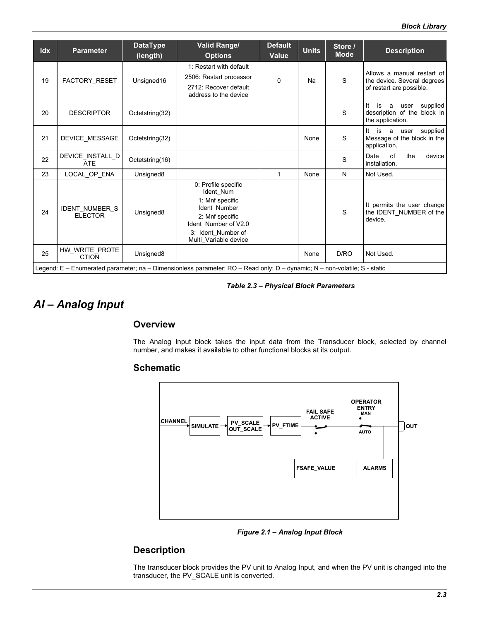| Idx | <b>Parameter</b>                        | <b>DataType</b><br>(length) | <b>Valid Range/</b><br><b>Options</b>                                                                                                                         | <b>Default</b><br>Value | <b>Units</b> | Store /<br><b>Mode</b> | <b>Description</b>                                                                    |
|-----|-----------------------------------------|-----------------------------|---------------------------------------------------------------------------------------------------------------------------------------------------------------|-------------------------|--------------|------------------------|---------------------------------------------------------------------------------------|
| 19  | <b>FACTORY RESET</b>                    | Unsigned16                  | 1: Restart with default<br>2506: Restart processor<br>2712: Recover default<br>address to the device                                                          | 0                       | Na           | S                      | Allows a manual restart of<br>the device. Several degrees<br>of restart are possible. |
| 20  | <b>DESCRIPTOR</b>                       | Octetstring(32)             |                                                                                                                                                               |                         |              | S                      | It<br>supplied<br>is<br>a<br>user<br>description of the block in<br>the application.  |
| 21  | DEVICE_MESSAGE                          | Octetstring(32)             |                                                                                                                                                               |                         | None         | S                      | supplied<br>It<br>is a<br>user<br>Message of the block in the<br>application.         |
| 22  | DEVICE_INSTALL_D<br><b>ATE</b>          | Octetstring(16)             |                                                                                                                                                               |                         |              | S                      | of<br>Date<br>the<br>device<br>installation.                                          |
| 23  | LOCAL OP ENA                            | Unsigned <sub>8</sub>       |                                                                                                                                                               | $\mathbf{1}$            | None         | N                      | Not Used.                                                                             |
| 24  | <b>IDENT NUMBER S</b><br><b>ELECTOR</b> | Unsigned8                   | 0: Profile specific<br>Ident Num<br>1: Mnf specific<br>Ident Number<br>2: Mnf specific<br>Ident Number of V2.0<br>3: Ident Number of<br>Multi Variable device |                         |              | S                      | It permits the user change<br>the IDENT_NUMBER of the<br>device.                      |
| 25  | HW_WRITE_PROTE<br><b>CTION</b>          | Unsigned8                   |                                                                                                                                                               |                         | None         | D/RO                   | Not Used.                                                                             |
|     |                                         |                             | Legend: E – Enumerated parameter; na – Dimensionless parameter; RO – Read only; D – dynamic; N – non-volatile; S - static                                     |                         |              |                        |                                                                                       |

*Table 2.3 – Physical Block Parameters*

# *AI – Analog Input*

### **Overview**

The Analog Input block takes the input data from the Transducer block, selected by channel number, and makes it available to other functional blocks at its output.

### **Schematic**



*Figure 2.1 – Analog Input Block*

# **Description**

The transducer block provides the PV unit to Analog Input, and when the PV unit is changed into the transducer, the PV\_SCALE unit is converted.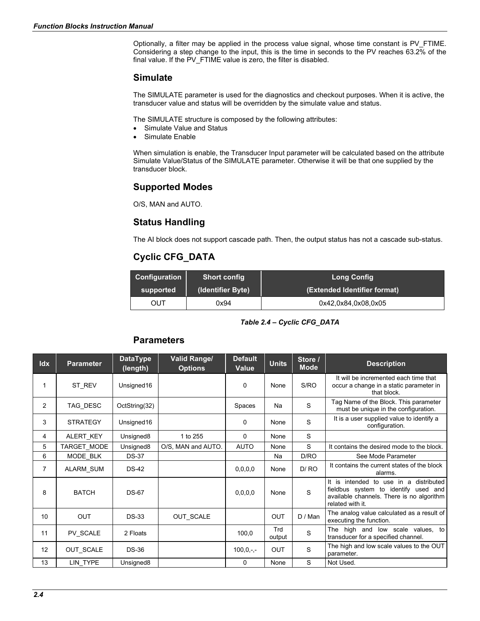Optionally, a filter may be applied in the process value signal, whose time constant is PV\_FTIME. Considering a step change to the input, this is the time in seconds to the PV reaches 63.2% of the final value. If the PV\_FTIME value is zero, the filter is disabled.

### **Simulate**

The SIMULATE parameter is used for the diagnostics and checkout purposes. When it is active, the transducer value and status will be overridden by the simulate value and status.

The SIMULATE structure is composed by the following attributes:

- Simulate Value and Status
- Simulate Enable

When simulation is enable, the Transducer Input parameter will be calculated based on the attribute Simulate Value/Status of the SIMULATE parameter. Otherwise it will be that one supplied by the transducer block.

### **Supported Modes**

O/S, MAN and AUTO.

### **Status Handling**

The AI block does not support cascade path. Then, the output status has not a cascade sub-status.

# **Cyclic CFG\_DATA**

| <b>Configuration</b>           | <b>Short config</b> | <b>Long Config</b>           |  |  |
|--------------------------------|---------------------|------------------------------|--|--|
| (Identifier Byte)<br>supported |                     | (Extended Identifier format) |  |  |
| OUT                            | 0x94                | 0x42,0x84,0x08,0x05          |  |  |

*Table 2.4 – Cyclic CFG\_DATA*

### **Parameters**

| Idx            | <b>Parameter</b> | <b>DataType</b><br>(length) | <b>Valid Range/</b><br><b>Options</b> | <b>Default</b><br><b>Value</b> | <b>Units</b>  | Store /<br><b>Mode</b> | <b>Description</b>                                                                                                                              |
|----------------|------------------|-----------------------------|---------------------------------------|--------------------------------|---------------|------------------------|-------------------------------------------------------------------------------------------------------------------------------------------------|
|                | ST REV           | Unsigned16                  |                                       | 0                              | None          | S/RO                   | It will be incremented each time that<br>occur a change in a static parameter in<br>that block.                                                 |
| 2              | TAG DESC         | OctString(32)               |                                       | Spaces                         | <b>Na</b>     | S                      | Tag Name of the Block. This parameter<br>must be unique in the configuration.                                                                   |
| 3              | <b>STRATEGY</b>  | Unsigned16                  |                                       | 0                              | None          | S                      | It is a user supplied value to identify a<br>configuration.                                                                                     |
| 4              | ALERT_KEY        | Unsigned8                   | 1 to 255                              | $\mathbf 0$                    | None          | S                      |                                                                                                                                                 |
| 5              | TARGET_MODE      | Unsigned <sub>8</sub>       | O/S, MAN and AUTO.                    | <b>AUTO</b>                    | None          | S                      | It contains the desired mode to the block.                                                                                                      |
| 6              | MODE_BLK         | <b>DS-37</b>                |                                       |                                | Na            | D/RO                   | See Mode Parameter                                                                                                                              |
| $\overline{7}$ | <b>ALARM SUM</b> | $DS-42$                     |                                       | 0, 0, 0, 0                     | None          | D/RO                   | It contains the current states of the block<br>alarms.                                                                                          |
| 8              | <b>BATCH</b>     | <b>DS-67</b>                |                                       | 0, 0, 0, 0                     | None          | S                      | It is intended to use in a distributed<br>fieldbus system to identify used and<br>available channels. There is no algorithm<br>related with it. |
| 10             | <b>OUT</b>       | $DS-33$                     | <b>OUT SCALE</b>                      |                                | <b>OUT</b>    | D / Man                | The analog value calculated as a result of<br>executing the function.                                                                           |
| 11             | PV SCALE         | 2 Floats                    |                                       | 100,0                          | Trd<br>output | S                      | The high and low scale values, to<br>transducer for a specified channel.                                                                        |
| 12             | <b>OUT SCALE</b> | $DS-36$                     |                                       | $100, 0, -,-$                  | <b>OUT</b>    | S                      | The high and low scale values to the OUT<br>parameter.                                                                                          |
| 13             | LIN TYPE         | Unsigned8                   |                                       | 0                              | None          | S                      | Not Used.                                                                                                                                       |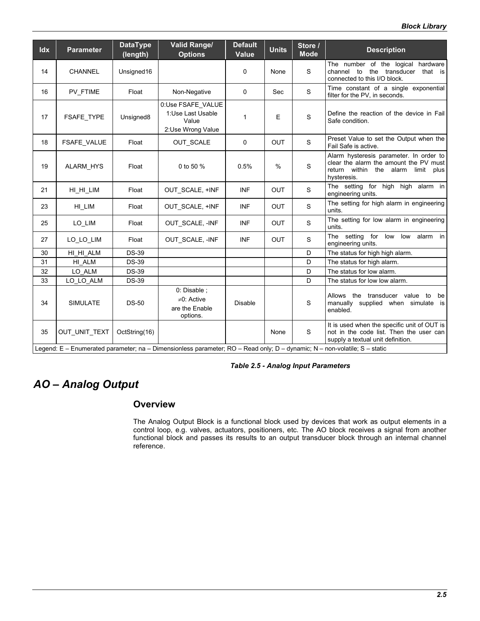| Idx | <b>Parameter</b>   | <b>DataType</b><br>(length) | <b>Valid Range/</b><br><b>Options</b>                                                                                     | <b>Default</b><br>Value | <b>Units</b> | Store /<br><b>Mode</b> | <b>Description</b>                                                                                                                           |
|-----|--------------------|-----------------------------|---------------------------------------------------------------------------------------------------------------------------|-------------------------|--------------|------------------------|----------------------------------------------------------------------------------------------------------------------------------------------|
| 14  | <b>CHANNEL</b>     | Unsigned16                  |                                                                                                                           | $\mathbf 0$             | None         | S                      | The number of the logical hardware<br>channel<br>transducer<br>that is<br>to<br>the<br>connected to this I/O block.                          |
| 16  | PV FTIME           | Float                       | Non-Negative                                                                                                              | 0                       | Sec          | $\mathsf S$            | Time constant of a single exponential<br>filter for the PV, in seconds.                                                                      |
| 17  | FSAFE_TYPE         | Unsigned8                   | 0:Use FSAFE_VALUE<br>1:Use Last Usable<br>Value<br>2:Use Wrong Value                                                      | $\mathbf{1}$            | E            | $\mathsf S$            | Define the reaction of the device in Fail<br>Safe condition.                                                                                 |
| 18  | <b>FSAFE VALUE</b> | Float                       | OUT_SCALE                                                                                                                 | 0                       | <b>OUT</b>   | $\mathbf S$            | Preset Value to set the Output when the<br>Fail Safe is active.                                                                              |
| 19  | <b>ALARM HYS</b>   | Float                       | 0 to 50 %                                                                                                                 | 0.5%                    | %            | S                      | Alarm hysteresis parameter. In order to<br>clear the alarm the amount the PV must<br>return within the alarm<br>limit<br>plus<br>hysteresis. |
| 21  | HI HI LIM          | Float                       | OUT SCALE, +INF                                                                                                           | <b>INF</b>              | <b>OUT</b>   | S                      | The setting for high high alarm in<br>engineering units.                                                                                     |
| 23  | HI_LIM             | Float                       | OUT SCALE, +INF                                                                                                           | <b>INF</b>              | <b>OUT</b>   | S                      | The setting for high alarm in engineering<br>units.                                                                                          |
| 25  | LO_LIM             | Float                       | OUT_SCALE, -INF                                                                                                           | <b>INF</b>              | <b>OUT</b>   | $\mathsf S$            | The setting for low alarm in engineering<br>units.                                                                                           |
| 27  | LO_LO_LIM          | Float                       | OUT_SCALE, -INF                                                                                                           | <b>INF</b>              | <b>OUT</b>   | $\mathsf S$            | The setting for low low alarm in<br>engineering units.                                                                                       |
| 30  | HI_HI_ALM          | <b>DS-39</b>                |                                                                                                                           |                         |              | D                      | The status for high high alarm.                                                                                                              |
| 31  | HI ALM             | <b>DS-39</b>                |                                                                                                                           |                         |              | D                      | The status for high alarm.                                                                                                                   |
| 32  | LO ALM             | <b>DS-39</b>                |                                                                                                                           |                         |              | D                      | The status for low alarm.                                                                                                                    |
| 33  | LO_LO_ALM          | <b>DS-39</b>                |                                                                                                                           |                         |              | D                      | The status for low low alarm.                                                                                                                |
| 34  | <b>SIMULATE</b>    | $DS-50$                     | 0: Disable;<br>$\neq 0$ : Active<br>are the Enable<br>options.                                                            | <b>Disable</b>          |              | S                      | Allows the transducer value to<br>be<br>manually supplied when simulate is<br>enabled.                                                       |
| 35  | OUT_UNIT_TEXT      | OctString(16)               |                                                                                                                           |                         | None         | S                      | It is used when the specific unit of OUT is<br>not in the code list. Then the user can<br>supply a textual unit definition.                  |
|     |                    |                             | Legend: E - Enumerated parameter; na - Dimensionless parameter; RO - Read only; D - dynamic; N - non-volatile; S - static |                         |              |                        |                                                                                                                                              |

*Table 2.5 - Analog Input Parameters*

# *AO – Analog Output*

### **Overview**

The Analog Output Block is a functional block used by devices that work as output elements in a control loop, e.g. valves, actuators, positioners, etc. The AO block receives a signal from another functional block and passes its results to an output transducer block through an internal channel reference.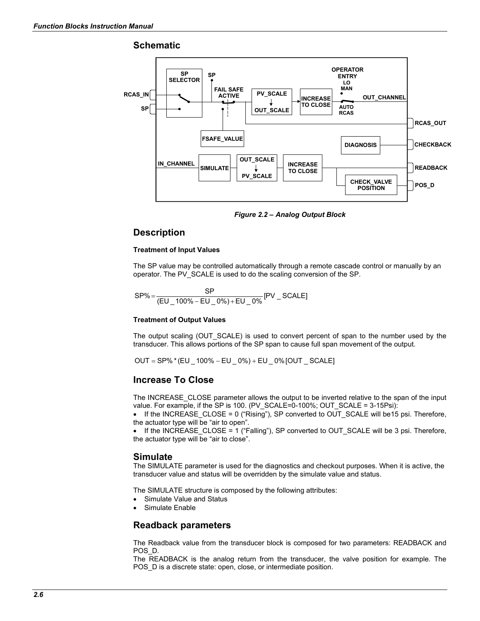### **Schematic**



*Figure 2.2 – Analog Output Block*

### **Description**

### **Treatment of Input Values**

The SP value may be controlled automatically through a remote cascade control or manually by an operator. The PV\_SCALE is used to do the scaling conversion of the SP.

$$
SP\% = \frac{SP}{(EU_100\% - EU_0\%) + EU_0\%} [PV_SCALE]
$$

### **Treatment of Output Values**

The output scaling (OUT\_SCALE) is used to convert percent of span to the number used by the transducer. This allows portions of the SP span to cause full span movement of the output.

OUT = SP% \* (EU \_ 100% – EU \_ 0%) + EU \_ 0% [OUT \_ SCALE]

### **Increase To Close**

The INCREASE\_CLOSE parameter allows the output to be inverted relative to the span of the input value. For example, if the SP is 100. (PV\_SCALE=0-100%; OUT\_SCALE = 3-15Psi):

• If the INCREASE CLOSE = 0 ("Rising"), SP converted to OUT SCALE will be15 psi. Therefore, the actuator type will be "air to open".

 $\bullet$  If the INCREASE CLOSE = 1 ("Falling"), SP converted to OUT\_SCALE will be 3 psi. Therefore, the actuator type will be "air to close".

### **Simulate**

The SIMULATE parameter is used for the diagnostics and checkout purposes. When it is active, the transducer value and status will be overridden by the simulate value and status.

The SIMULATE structure is composed by the following attributes:

- Simulate Value and Status
- Simulate Enable

### **Readback parameters**

The Readback value from the transducer block is composed for two parameters: READBACK and POS\_D.

The READBACK is the analog return from the transducer, the valve position for example. The POS D is a discrete state: open, close, or intermediate position.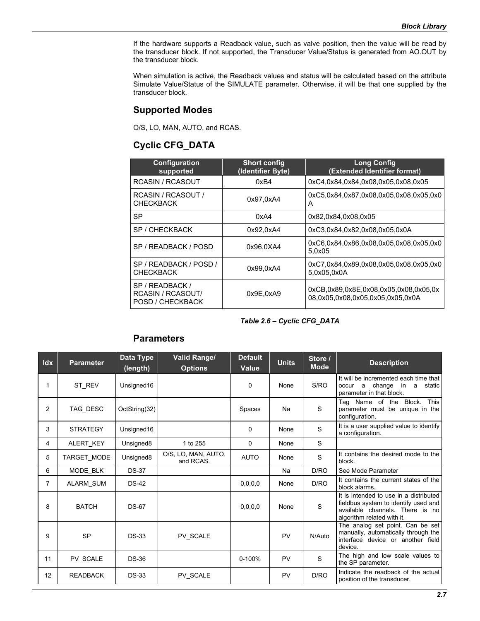If the hardware supports a Readback value, such as valve position, then the value will be read by the transducer block. If not supported, the Transducer Value/Status is generated from AO.OUT by the transducer block.

When simulation is active, the Readback values and status will be calculated based on the attribute Simulate Value/Status of the SIMULATE parameter. Otherwise, it will be that one supplied by the transducer block.

### **Supported Modes**

O/S, LO, MAN, AUTO, and RCAS.

# **Cyclic CFG\_DATA**

| <b>Configuration</b><br>supported                        | <b>Short config</b><br>(Identifier Byte) | <b>Long Config</b><br>(Extended Identifier format)                        |
|----------------------------------------------------------|------------------------------------------|---------------------------------------------------------------------------|
| <b>RCASIN / RCASOUT</b>                                  | 0xB4                                     | 0xC4.0x84.0x84.0x08.0x05.0x08.0x05                                        |
| RCASIN / RCASOUT /<br><b>CHECKBACK</b>                   | 0x97.0xA4                                | 0xC5.0x84.0x87.0x08.0x05.0x08.0x05.0x0<br>A                               |
| SP                                                       | 0xA4                                     | 0x82,0x84,0x08,0x05                                                       |
| SP / CHECKBACK                                           | 0x92.0xA4                                | 0xC3.0x84.0x82.0x08.0x05.0x0A                                             |
| SP / READBACK / POSD                                     | 0x96.0XA4                                | 0xC6.0x84.0x86.0x08.0x05.0x08.0x05.0x0<br>5,0x05                          |
| SP / READBACK / POSD /<br><b>CHECKBACK</b>               | 0x99.0xA4                                | 0xC7.0x84.0x89.0x08.0x05.0x08.0x05.0x0<br>5,0x05,0x0A                     |
| SP / READBACK /<br>RCASIN / RCASOUT/<br>POSD / CHECKBACK | 0x9E.0xA9                                | 0xCB.0x89.0x8E.0x08.0x05.0x08.0x05.0x<br>08.0x05.0x08.0x05.0x05.0x05.0x0A |

### *Table 2.6 – Cyclic CFG\_DATA*

### **Parameters**

| Idx            | <b>Parameter</b> | Data Type<br>(length) | <b>Valid Range/</b><br><b>Options</b> | <b>Default</b><br>Value | <b>Units</b> | Store /<br><b>Mode</b> | <b>Description</b>                                                                                                                              |
|----------------|------------------|-----------------------|---------------------------------------|-------------------------|--------------|------------------------|-------------------------------------------------------------------------------------------------------------------------------------------------|
| 1              | ST REV           | Unsigned16            |                                       | 0                       | None         | S/RO                   | It will be incremented each time that<br>occur a change<br>in a<br>static<br>parameter in that block.                                           |
| 2              | TAG_DESC         | OctString(32)         |                                       | Spaces                  | Na           | S                      | <b>This</b><br>Tag Name of the Block.<br>parameter must be unique in the<br>configuration.                                                      |
| 3              | <b>STRATEGY</b>  | Unsigned16            |                                       | $\mathbf 0$             | None         | S                      | It is a user supplied value to identify<br>a configuration.                                                                                     |
| 4              | ALERT_KEY        | Unsigned8             | 1 to 255                              | $\Omega$                | None         | S                      |                                                                                                                                                 |
| 5              | TARGET_MODE      | Unsigned <sub>8</sub> | O/S, LO, MAN, AUTO,<br>and RCAS.      | <b>AUTO</b>             | None         | S                      | It contains the desired mode to the<br>block.                                                                                                   |
| 6              | MODE BLK         | <b>DS-37</b>          |                                       |                         | Na           | D/RO                   | See Mode Parameter                                                                                                                              |
| $\overline{7}$ | ALARM_SUM        | $DS-42$               |                                       | 0,0,0,0                 | None         | D/RO                   | It contains the current states of the<br>block alarms.                                                                                          |
| 8              | <b>BATCH</b>     | <b>DS-67</b>          |                                       | 0,0,0,0                 | None         | S                      | It is intended to use in a distributed<br>fieldbus system to identify used and<br>available channels. There is no<br>algorithm related with it. |
| 9              | <b>SP</b>        | <b>DS-33</b>          | PV SCALE                              |                         | PV           | N/Auto                 | The analog set point. Can be set<br>manually, automatically through the<br>interface device or another field<br>device.                         |
| 11             | <b>PV SCALE</b>  | <b>DS-36</b>          |                                       | 0-100%                  | PV           | S                      | The high and low scale values to<br>the SP parameter.                                                                                           |
| 12             | <b>READBACK</b>  | <b>DS-33</b>          | PV_SCALE                              |                         | PV           | D/RO                   | Indicate the readback of the actual<br>position of the transducer.                                                                              |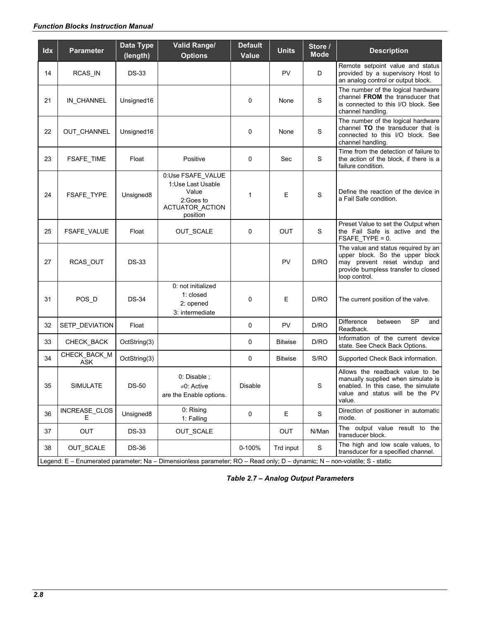### *Function Blocks Instruction Manual*

| Idx | <b>Parameter</b>    | Data Type<br>(length) | <b>Valid Range/</b><br><b>Options</b>                                                                                     | <b>Default</b><br>Value | <b>Units</b>   | Store /<br><b>Mode</b> | <b>Description</b>                                                                                                                                             |
|-----|---------------------|-----------------------|---------------------------------------------------------------------------------------------------------------------------|-------------------------|----------------|------------------------|----------------------------------------------------------------------------------------------------------------------------------------------------------------|
| 14  | RCAS_IN             | <b>DS-33</b>          |                                                                                                                           |                         | PV             | D                      | Remote setpoint value and status<br>provided by a supervisory Host to<br>an analog control or output block.                                                    |
| 21  | IN_CHANNEL          | Unsigned16            |                                                                                                                           | 0                       | None           | $\mathbf S$            | The number of the logical hardware<br>channel FROM the transducer that<br>is connected to this I/O block. See<br>channel handling.                             |
| 22  | <b>OUT CHANNEL</b>  | Unsigned16            |                                                                                                                           | 0                       | None           | S                      | The number of the logical hardware<br>channel TO the transducer that is<br>connected to this I/O block. See<br>channel handling.                               |
| 23  | <b>FSAFE_TIME</b>   | Float                 | Positive                                                                                                                  | 0                       | Sec            | S                      | Time from the detection of failure to<br>the action of the block, if there is a<br>failure condition.                                                          |
| 24  | FSAFE_TYPE          | Unsigned <sub>8</sub> | 0:Use FSAFE_VALUE<br>1:Use Last Usable<br>Value<br>2:Goes to<br><b>ACTUATOR ACTION</b><br>position                        | $\mathbf{1}$            | Е              | $\mathbf S$            | Define the reaction of the device in<br>a Fail Safe condition.                                                                                                 |
| 25  | FSAFE_VALUE         | Float                 | OUT_SCALE                                                                                                                 | 0                       | <b>OUT</b>     | S                      | Preset Value to set the Output when<br>the Fail Safe is active and the<br>FSAFE_TYPE = 0.                                                                      |
| 27  | RCAS_OUT            | <b>DS-33</b>          |                                                                                                                           |                         | PV             | D/RO                   | The value and status required by an<br>upper block. So the upper block<br>may prevent reset windup and<br>provide bumpless transfer to closed<br>loop control. |
| 31  | POS_D               | <b>DS-34</b>          | 0: not initialized<br>1: closed<br>2: opened<br>3: intermediate                                                           | $\mathbf 0$             | E              | D/RO                   | The current position of the valve.                                                                                                                             |
| 32  | SETP_DEVIATION      | Float                 |                                                                                                                           | 0                       | PV             | D/RO                   | <b>Difference</b><br><b>SP</b><br>between<br>and<br>Readback.                                                                                                  |
| 33  | CHECK_BACK          | OctString(3)          |                                                                                                                           | 0                       | <b>Bitwise</b> | D/RO                   | Information of the current device<br>state. See Check Back Options.                                                                                            |
| 34  | CHECK_BACK_M<br>ASK | OctString(3)          |                                                                                                                           | 0                       | <b>Bitwise</b> | S/RO                   | Supported Check Back information.                                                                                                                              |
| 35  | <b>SIMULATE</b>     | <b>DS-50</b>          | 0: Disable ;<br>≠0: Active<br>are the Enable options.                                                                     | <b>Disable</b>          |                | S                      | Allows the readback value to be<br>manually supplied when simulate is<br>enabled. In this case, the simulate<br>value and status will be the PV<br>value.      |
| 36  | INCREASE_CLOS<br>Ε  | Unsigned8             | 0: Rising<br>1: Falling                                                                                                   | 0                       | Е              | S                      | Direction of positioner in automatic<br>mode.                                                                                                                  |
| 37  | OUT                 | <b>DS-33</b>          | OUT_SCALE                                                                                                                 |                         | OUT            | N/Man                  | The output value result to the<br>transducer block.                                                                                                            |
| 38  | OUT_SCALE           | <b>DS-36</b>          | Legend: E - Enumerated parameter; Na - Dimensionless parameter; RO - Read only; D - dynamic; N - non-volatile; S - static | 0-100%                  | Trd input      | S                      | The high and low scale values, to<br>transducer for a specified channel.                                                                                       |

*Table 2.7 – Analog Output Parameters*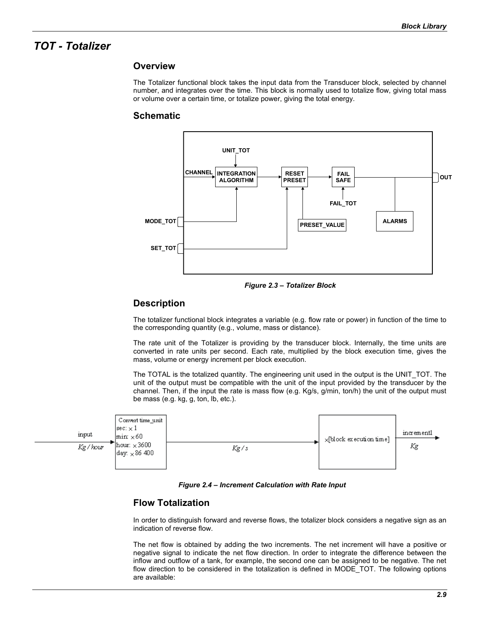# *TOT - Totalizer*

### **Overview**

The Totalizer functional block takes the input data from the Transducer block, selected by channel number, and integrates over the time. This block is normally used to totalize flow, giving total mass or volume over a certain time, or totalize power, giving the total energy.

### **Schematic**



*Figure 2.3 – Totalizer Block*

### **Description**

The totalizer functional block integrates a variable (e.g. flow rate or power) in function of the time to the corresponding quantity (e.g., volume, mass or distance).

The rate unit of the Totalizer is providing by the transducer block. Internally, the time units are converted in rate units per second. Each rate, multiplied by the block execution time, gives the mass, volume or energy increment per block execution.

The TOTAL is the totalized quantity. The engineering unit used in the output is the UNIT\_TOT. The unit of the output must be compatible with the unit of the input provided by the transducer by the channel. Then, if the input the rate is mass flow (e.g. Kg/s, g/min, ton/h) the unit of the output must be mass (e.g. kg, g, ton, lb, etc.).



*Figure 2.4 – Increment Calculation with Rate Input*

### **Flow Totalization**

In order to distinguish forward and reverse flows, the totalizer block considers a negative sign as an indication of reverse flow.

The net flow is obtained by adding the two increments. The net increment will have a positive or negative signal to indicate the net flow direction. In order to integrate the difference between the inflow and outflow of a tank, for example, the second one can be assigned to be negative. The net flow direction to be considered in the totalization is defined in MODE\_TOT. The following options are available: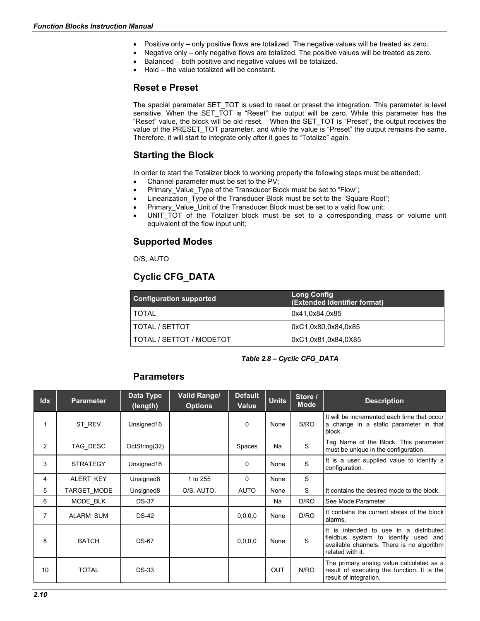- Positive only only positive flows are totalized. The negative values will be treated as zero.
- Negative only only negative flows are totalized. The positive values will be treated as zero.
	- Balanced both positive and negative values will be totalized.
	- Hold the value totalized will be constant.

### **Reset e Preset**

The special parameter SET\_TOT is used to reset or preset the integration. This parameter is level sensitive. When the SET TOT is "Reset" the output will be zero. While this parameter has the "Reset" value, the block will be old reset. When the SET\_TOT is "Preset", the output receives the value of the PRESET\_TOT parameter, and while the value is "Preset" the output remains the same. Therefore, it will start to integrate only after it goes to "Totalize" again.

### **Starting the Block**

In order to start the Totalizer block to working properly the following steps must be attended:

- Channel parameter must be set to the PV;
- Primary Value Type of the Transducer Block must be set to "Flow";
- Linearization Type of the Transducer Block must be set to the "Square Root";
- Primary Value Unit of the Transducer Block must be set to a valid flow unit;
- UNIT TOT of the Totalizer block must be set to a corresponding mass or volume unit equivalent of the flow input unit;

### **Supported Modes**

O/S, AUTO

# **Cyclic CFG\_DATA**

| <b>Configuration supported</b> | Long Config<br>(Extended Identifier format) |
|--------------------------------|---------------------------------------------|
| I TOTAL                        | 0x41,0x84,0x85                              |
| l TOTAL / SETTOT               | 0xC1,0x80,0x84,0x85                         |
| I TOTAL / SETTOT / MODETOT     | 0xC1,0x81,0x84,0X85                         |

### *Table 2.8 – Cyclic CFG\_DATA*

### **Parameters**

| <b>Idx</b>     | <b>Parameter</b> | Data Type<br>(length) | Valid Range/<br><b>Options</b> | <b>Default</b><br>Value | <b>Units</b> | Store /<br><b>Mode</b> | <b>Description</b>                                                                                                                                 |
|----------------|------------------|-----------------------|--------------------------------|-------------------------|--------------|------------------------|----------------------------------------------------------------------------------------------------------------------------------------------------|
|                | ST_REV           | Unsigned16            |                                | 0                       | None         | S/RO                   | It will be incremented each time that occur<br>a change in a static parameter in that<br>block.                                                    |
| 2              | TAG DESC         | OctString(32)         |                                | Spaces                  | Na           | S                      | Tag Name of the Block. This parameter<br>must be unique in the configuration.                                                                      |
| 3              | <b>STRATEGY</b>  | Unsigned16            |                                | 0                       | None         | S                      | It is a user supplied value to identify a<br>configuration.                                                                                        |
| 4              | ALERT_KEY        | Unsigned <sub>8</sub> | 1 to 255                       | $\Omega$                | None         | S                      |                                                                                                                                                    |
| 5              | TARGET_MODE      | Unsigned <sub>8</sub> | O/S, AUTO.                     | <b>AUTO</b>             | None         | S                      | It contains the desired mode to the block.                                                                                                         |
| 6              | MODE BLK         | <b>DS-37</b>          |                                |                         | Na           | D/RO                   | See Mode Parameter                                                                                                                                 |
| $\overline{7}$ | <b>ALARM SUM</b> | <b>DS-42</b>          |                                | 0, 0, 0, 0              | None         | D/RO                   | It contains the current states of the block<br>alarms.                                                                                             |
| 8              | <b>BATCH</b>     | <b>DS-67</b>          |                                | 0,0,0,0                 | None         | S                      | distributed<br>It is intended to use in a<br>fieldbus system to identify used and<br>available channels. There is no algorithm<br>related with it. |
| 10             | <b>TOTAL</b>     | <b>DS-33</b>          |                                |                         | <b>OUT</b>   | N/RO                   | The primary analog value calculated as a<br>result of executing the function. It is the<br>result of integration.                                  |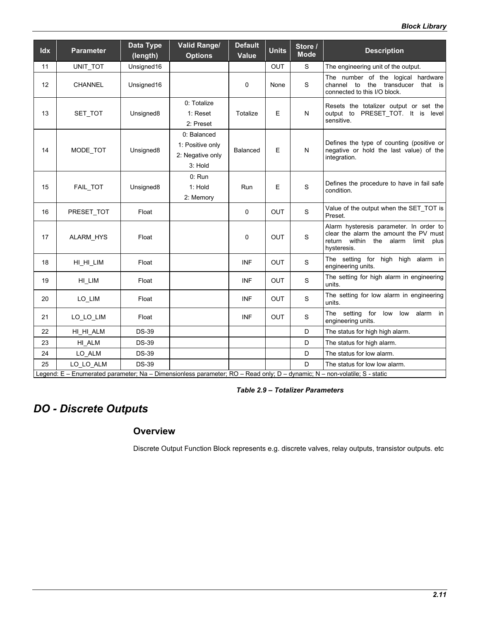| Idx | <b>Parameter</b> | Data Type<br>(length) | <b>Valid Range/</b><br><b>Options</b>                          | <b>Default</b><br>Value | <b>Units</b> | Store /<br><b>Mode</b> | <b>Description</b>                                                                                                                                  |
|-----|------------------|-----------------------|----------------------------------------------------------------|-------------------------|--------------|------------------------|-----------------------------------------------------------------------------------------------------------------------------------------------------|
| 11  | UNIT_TOT         | Unsigned16            |                                                                |                         | OUT          | S                      | The engineering unit of the output.                                                                                                                 |
| 12  | CHANNEL          | Unsigned16            |                                                                | 0                       | None         | S                      | The number of the logical hardware<br>the transducer that is<br>channel to<br>connected to this I/O block.                                          |
| 13  | SET_TOT          | Unsigned8             | 0: Totalize<br>$1:$ Reset<br>2: Preset                         | Totalize                | E            | N                      | Resets the totalizer output or set the<br>output to PRESET_TOT. It is level<br>sensitive.                                                           |
| 14  | MODE_TOT         | Unsigned8             | 0: Balanced<br>1: Positive only<br>2: Negative only<br>3: Hold | Balanced                | E            | $\mathsf{N}$           | Defines the type of counting (positive or<br>negative or hold the last value) of the<br>integration.                                                |
| 15  | FAIL_TOT         | Unsigned <sub>8</sub> | 0: Run<br>$1:$ Hold<br>2: Memory                               | Run                     | E            | $\mathbf S$            | Defines the procedure to have in fail safe<br>condition.                                                                                            |
| 16  | PRESET_TOT       | Float                 |                                                                | $\mathbf 0$             | OUT          | $\mathsf S$            | Value of the output when the SET_TOT is<br>Preset.                                                                                                  |
| 17  | ALARM_HYS        | Float                 |                                                                | 0                       | <b>OUT</b>   | S                      | Alarm hysteresis parameter. In order to<br>clear the alarm the amount the PV must<br>return within the alarm<br>limit<br>plus<br>hysteresis.        |
| 18  | HI HI LIM        | Float                 |                                                                | <b>INF</b>              | <b>OUT</b>   | S                      | The setting for high high alarm in<br>engineering units.                                                                                            |
| 19  | HI_LIM           | Float                 |                                                                | <b>INF</b>              | <b>OUT</b>   | S                      | The setting for high alarm in engineering<br>units.                                                                                                 |
| 20  | LO_LIM           | Float                 |                                                                | INF                     | <b>OUT</b>   | S                      | The setting for low alarm in engineering<br>units.                                                                                                  |
| 21  | LO_LO_LIM        | Float                 |                                                                | <b>INF</b>              | <b>OUT</b>   | S                      | The setting for low low alarm in<br>engineering units.                                                                                              |
| 22  | HI HI ALM        | <b>DS-39</b>          |                                                                |                         |              | D                      | The status for high high alarm.                                                                                                                     |
| 23  | HI_ALM           | <b>DS-39</b>          |                                                                |                         |              | D                      | The status for high alarm.                                                                                                                          |
| 24  | LO_ALM           | <b>DS-39</b>          |                                                                |                         |              | D                      | The status for low alarm.                                                                                                                           |
| 25  | LO_LO_ALM        | <b>DS-39</b>          |                                                                |                         |              | D                      | The status for low low alarm.<br>egend: E. Enumerated parameter: Na. Dimensionless parameter: PO. Pead only: D. dynamic: N. nep volatile: S. statio |

Legend: E – Enumerated parameter; Na – Dimensionless parameter; RO – Read only; D – dynamic; N – non-volatile; S - static

### *Table 2.9 – Totalizer Parameters*

# *DO - Discrete Outputs*

### **Overview**

Discrete Output Function Block represents e.g. discrete valves, relay outputs, transistor outputs. etc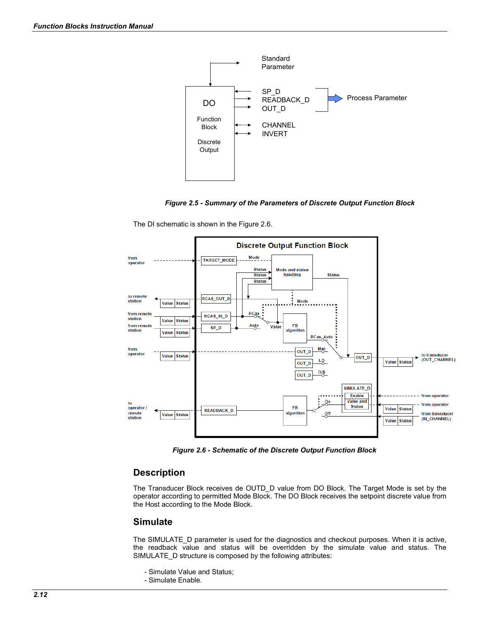

*Figure 2.5 - Summary of the Parameters of Discrete Output Function Block*

The DI schematic is shown in the Figure 2.6.



*Figure 2.6 - Schematic of the Discrete Output Function Block*

### **Description**

The Transducer Block receives de OUTD\_D value from DO Block. The Target Mode is set by the operator according to permitted Mode Block. The DO Block receives the setpoint discrete value from the Host according to the Mode Block.

### **Simulate**

The SIMULATE D parameter is used for the diagnostics and checkout purposes. When it is active, the readback value and status will be overridden by the simulate value and status. The SIMULATE D structure is composed by the following attributes:

- Simulate Value and Status;
- Simulate Enable.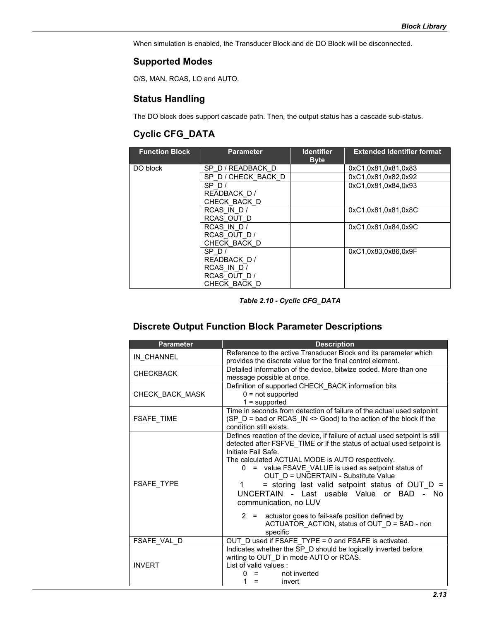When simulation is enabled, the Transducer Block and de DO Block will be disconnected.

### **Supported Modes**

O/S, MAN, RCAS, LO and AUTO.

### **Status Handling**

The DO block does support cascade path. Then, the output status has a cascade sub-status.

# **Cyclic CFG\_DATA**

| <b>Function Block</b> | <b>Parameter</b>  | <b>Identifier</b><br><b>Byte</b> | <b>Extended Identifier format</b> |
|-----------------------|-------------------|----------------------------------|-----------------------------------|
| DO block              | SP D/READBACK D   |                                  | 0xC1,0x81,0x81,0x83               |
|                       | SP D/CHECK BACK D |                                  | 0xC1.0x81.0x82.0x92               |
|                       | SPD/              |                                  | 0xC1.0x81.0x84.0x93               |
|                       | READBACK D/       |                                  |                                   |
|                       | CHECK BACK D      |                                  |                                   |
|                       | RCAS IN D/        |                                  | 0xC1,0x81,0x81,0x8C               |
|                       | RCAS OUT D        |                                  |                                   |
|                       | RCAS IN D/        |                                  | 0xC1.0x81.0x84.0x9C               |
|                       | RCAS OUT D/       |                                  |                                   |
|                       | CHECK BACK D      |                                  |                                   |
|                       | SPD/              |                                  | 0xC1,0x83,0x86,0x9F               |
|                       | READBACK D/       |                                  |                                   |
|                       | RCAS IN D/        |                                  |                                   |
|                       | RCAS OUT D/       |                                  |                                   |
|                       | CHECK BACK D      |                                  |                                   |

*Table 2.10 - Cyclic CFG\_DATA*

# **Discrete Output Function Block Parameter Descriptions**

| <b>Parameter</b>  | <b>Description</b>                                                                                                                                                                                                                                                                                                                                                                                                                                                                                                                                                                 |
|-------------------|------------------------------------------------------------------------------------------------------------------------------------------------------------------------------------------------------------------------------------------------------------------------------------------------------------------------------------------------------------------------------------------------------------------------------------------------------------------------------------------------------------------------------------------------------------------------------------|
| IN CHANNEL        | Reference to the active Transducer Block and its parameter which<br>provides the discrete value for the final control element.                                                                                                                                                                                                                                                                                                                                                                                                                                                     |
| <b>CHECKBACK</b>  | Detailed information of the device, bitwize coded. More than one<br>message possible at once.                                                                                                                                                                                                                                                                                                                                                                                                                                                                                      |
| CHECK_BACK_MASK   | Definition of supported CHECK BACK information bits<br>$0 = not supported$<br>$1 =$ supported                                                                                                                                                                                                                                                                                                                                                                                                                                                                                      |
| <b>FSAFE TIME</b> | Time in seconds from detection of failure of the actual used setpoint<br>(SP D = bad or RCAS IN <> Good) to the action of the block if the<br>condition still exists.                                                                                                                                                                                                                                                                                                                                                                                                              |
| <b>FSAFE TYPE</b> | Defines reaction of the device, if failure of actual used setpoint is still<br>detected after FSFVE TIME or if the status of actual used setpoint is<br>Initiate Fail Safe.<br>The calculated ACTUAL MODE is AUTO respectively.<br>0 = value FSAVE VALUE is used as setpoint status of<br>OUT D = UNCERTAIN - Substitute Value<br>$=$ storing last valid setpoint status of OUT D $=$<br>1<br>UNCERTAIN - Last usable Value or BAD - No<br>communication, no LUV<br>2 = actuator goes to fail-safe position defined by<br>ACTUATOR ACTION, status of OUT D = BAD - non<br>specific |
| FSAFE VAL D       | OUT D used if FSAFE TYPE = 0 and FSAFE is activated.                                                                                                                                                                                                                                                                                                                                                                                                                                                                                                                               |
| <b>INVERT</b>     | Indicates whether the SP_D should be logically inverted before<br>writing to OUT_D in mode AUTO or RCAS.<br>List of valid values :<br>not inverted<br>invert<br>=                                                                                                                                                                                                                                                                                                                                                                                                                  |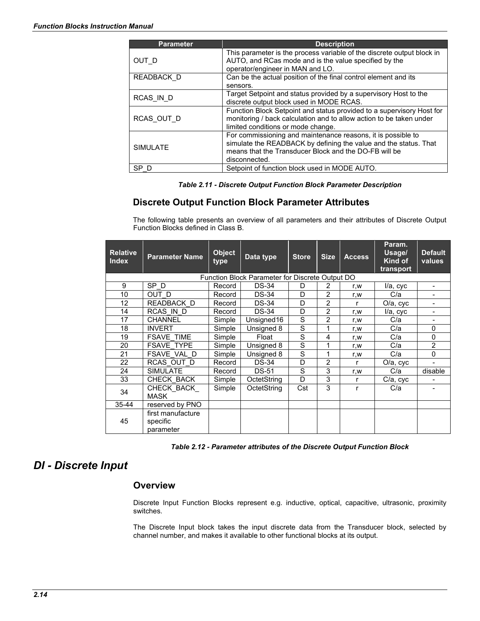| <b>Parameter</b> | <b>Description</b>                                                                                                                                                                                         |
|------------------|------------------------------------------------------------------------------------------------------------------------------------------------------------------------------------------------------------|
| OUT D            | This parameter is the process variable of the discrete output block in<br>AUTO, and RCas mode and is the value specified by the<br>operator/engineer in MAN and LO.                                        |
| READBACK D       | Can be the actual position of the final control element and its                                                                                                                                            |
|                  | sensors.                                                                                                                                                                                                   |
| RCAS IN D        | Target Setpoint and status provided by a supervisory Host to the<br>discrete output block used in MODE RCAS.                                                                                               |
| RCAS OUT D       | Function Block Setpoint and status provided to a supervisory Host for<br>monitoring / back calculation and to allow action to be taken under<br>limited conditions or mode change.                         |
| <b>SIMULATE</b>  | For commissioning and maintenance reasons, it is possible to<br>simulate the READBACK by defining the value and the status. That<br>means that the Transducer Block and the DO-FB will be<br>disconnected. |
| SP D             | Setpoint of function block used in MODE AUTO.                                                                                                                                                              |

*Table 2.11 - Discrete Output Function Block Parameter Description*

### **Discrete Output Function Block Parameter Attributes**

The following table presents an overview of all parameters and their attributes of Discrete Output Function Blocks defined in Class B.

| <b>Relative</b><br><b>Index</b>                 | <b>Parameter Name</b>                      | <b>Object</b><br>type | Data type    | <b>Store</b> | <b>Size</b>    | <b>Access</b> | Param.<br>Usage/<br>Kind of<br>transport | <b>Default</b><br>values |
|-------------------------------------------------|--------------------------------------------|-----------------------|--------------|--------------|----------------|---------------|------------------------------------------|--------------------------|
| Function Block Parameter for Discrete Output DO |                                            |                       |              |              |                |               |                                          |                          |
| 9                                               | SP <sub>D</sub>                            | Record                | $DS-34$      | D            | 2              | r,w           | I/a, cyc                                 |                          |
| 10                                              | OUT D                                      | Record                | <b>DS-34</b> | D            | 2              | r,w           | C/a                                      |                          |
| 12                                              | READBACK D                                 | Record                | <b>DS-34</b> | D            | $\overline{2}$ | r             | O/a, cyc                                 | ÷                        |
| 14                                              | RCAS IN D                                  | Record                | <b>DS-34</b> | D            | 2              | r,w           | I/a, cyc                                 |                          |
| 17                                              | <b>CHANNEL</b>                             | Simple                | Unsigned16   | S            | 2              | r,w           | C/a                                      |                          |
| 18                                              | <b>INVERT</b>                              | Simple                | Unsigned 8   | S            | 1              | r,w           | C/a                                      | $\Omega$                 |
| 19                                              | <b>FSAVE TIME</b>                          | Simple                | Float        | S            | 4              | r,w           | C/a                                      | $\Omega$                 |
| 20                                              | <b>FSAVE TYPE</b>                          | Simple                | Unsigned 8   | S            | 1              | r,w           | C/a                                      | $\overline{2}$           |
| 21                                              | <b>FSAVE VAL D</b>                         | Simple                | Unsigned 8   | S            | 1              | r,w           | C/a                                      | $\Omega$                 |
| 22                                              | RCAS OUT D                                 | Record                | <b>DS-34</b> | D            | $\overline{2}$ | r             | O/a, cyc                                 |                          |
| 24                                              | <b>SIMULATE</b>                            | Record                | <b>DS-51</b> | S            | 3              | r,w           | C/a                                      | disable                  |
| 33                                              | CHECK BACK                                 | Simple                | OctetString  | D            | 3              | r             | C/a, cyc                                 |                          |
| 34                                              | CHECK BACK<br><b>MASK</b>                  | Simple                | OctetString  | Cst          | 3              | r             | C/a                                      |                          |
| $35 - 44$                                       | reserved by PNO                            |                       |              |              |                |               |                                          |                          |
| 45                                              | first manufacture<br>specific<br>parameter |                       |              |              |                |               |                                          |                          |

*Table 2.12 - Parameter attributes of the Discrete Output Function Block*

# *DI - Discrete Input*

### **Overview**

Discrete Input Function Blocks represent e.g. inductive, optical, capacitive, ultrasonic, proximity switches.

The Discrete Input block takes the input discrete data from the Transducer block, selected by channel number, and makes it available to other functional blocks at its output.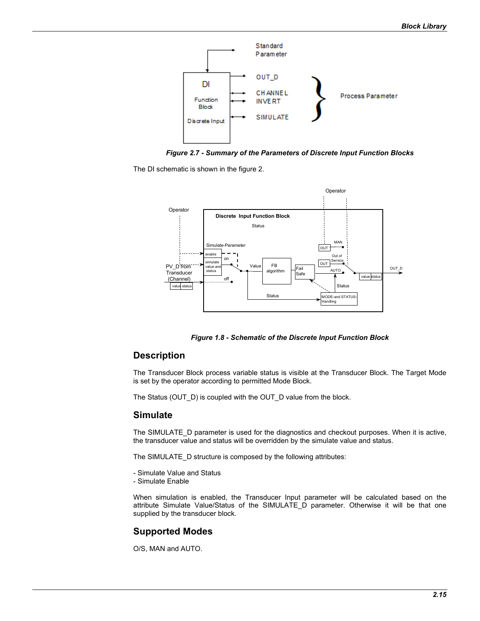

*Figure 2.7 - Summary of the Parameters of Discrete Input Function Blocks*

The DI schematic is shown in the figure 2.



*Figure 1.8 - Schematic of the Discrete Input Function Block*

### **Description**

The Transducer Block process variable status is visible at the Transducer Block. The Target Mode is set by the operator according to permitted Mode Block.

The Status (OUT\_D) is coupled with the OUT\_D value from the block.

### **Simulate**

The SIMULATE D parameter is used for the diagnostics and checkout purposes. When it is active, the transducer value and status will be overridden by the simulate value and status.

The SIMULATE\_D structure is composed by the following attributes:

- Simulate Value and Status
- Simulate Enable

When simulation is enabled, the Transducer Input parameter will be calculated based on the attribute Simulate Value/Status of the SIMULATE\_D parameter. Otherwise it will be that one supplied by the transducer block.

### **Supported Modes**

O/S, MAN and AUTO.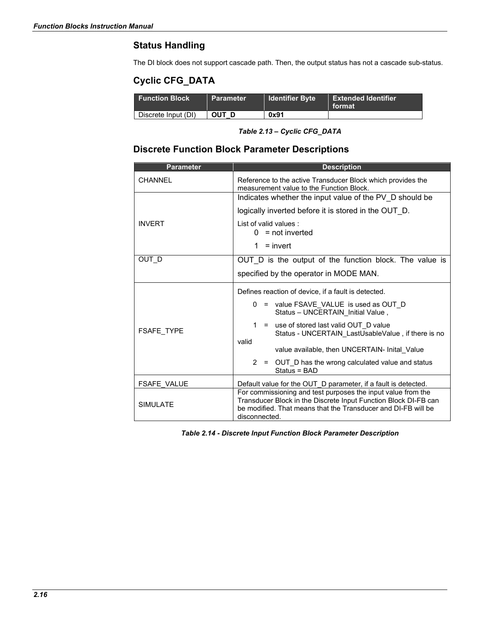# **Status Handling**

The DI block does not support cascade path. Then, the output status has not a cascade sub-status.

# **Cyclic CFG\_DATA**

| <b>Function Block</b> | <b>Parameter</b> | <b>Identifier Byte</b> | Extended Identifier<br>format |
|-----------------------|------------------|------------------------|-------------------------------|
| Discrete Input (DI)   | OUT D            | 0x91                   |                               |

*Table 2.13 – Cyclic CFG\_DATA*

# **Discrete Function Block Parameter Descriptions**

| <b>Parameter</b>   | <b>Description</b>                                                                                                                                                                                                |  |  |  |  |  |
|--------------------|-------------------------------------------------------------------------------------------------------------------------------------------------------------------------------------------------------------------|--|--|--|--|--|
| <b>CHANNEL</b>     | Reference to the active Transducer Block which provides the<br>measurement value to the Function Block.                                                                                                           |  |  |  |  |  |
|                    | Indicates whether the input value of the PV_D should be                                                                                                                                                           |  |  |  |  |  |
|                    | logically inverted before it is stored in the OUT_D.                                                                                                                                                              |  |  |  |  |  |
| <b>INVERT</b>      | List of valid values:<br>$0 = not inverted$                                                                                                                                                                       |  |  |  |  |  |
|                    | $\mathbf{1}$<br>$=$ invert                                                                                                                                                                                        |  |  |  |  |  |
| OUT D              | OUT_D is the output of the function block. The value is                                                                                                                                                           |  |  |  |  |  |
|                    | specified by the operator in MODE MAN.                                                                                                                                                                            |  |  |  |  |  |
|                    | Defines reaction of device, if a fault is detected.                                                                                                                                                               |  |  |  |  |  |
|                    | = value FSAVE VALUE is used as OUT D<br>0<br>Status - UNCERTAIN Initial Value,                                                                                                                                    |  |  |  |  |  |
| <b>FSAFE TYPE</b>  | 1<br>= use of stored last valid OUT D value<br>Status - UNCERTAIN LastUsableValue, if there is no                                                                                                                 |  |  |  |  |  |
|                    | valid<br>value available, then UNCERTAIN- Inital Value                                                                                                                                                            |  |  |  |  |  |
|                    | $\mathbf{2}^{\circ}$<br>OUT D has the wrong calculated value and status<br>$=$<br>Status = BAD                                                                                                                    |  |  |  |  |  |
| <b>FSAFE VALUE</b> | Default value for the OUT_D parameter, if a fault is detected.                                                                                                                                                    |  |  |  |  |  |
| <b>SIMULATE</b>    | For commissioning and test purposes the input value from the<br>Transducer Block in the Discrete Input Function Block DI-FB can<br>be modified. That means that the Transducer and DI-FB will be<br>disconnected. |  |  |  |  |  |

*Table 2.14 - Discrete Input Function Block Parameter Description*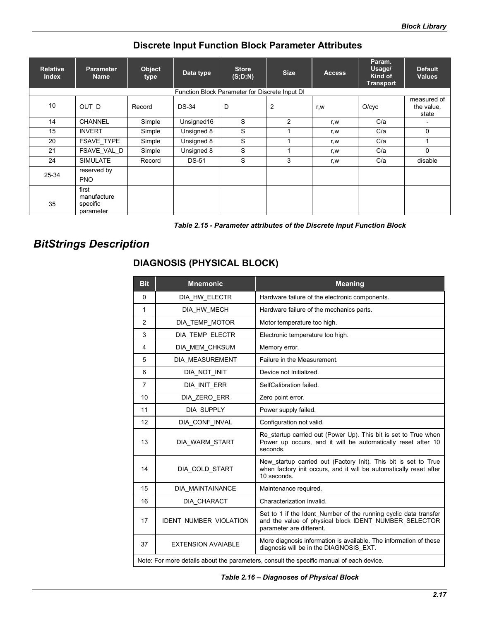# **Discrete Input Function Block Parameter Attributes**

| <b>Relative</b><br><b>Index</b> | <b>Parameter</b><br><b>Name</b>               | Object<br>type | Data type    | <b>Store</b><br>(S;D;N)                        | <b>Size</b>    | <b>Access</b> | Param.<br>Usage/<br>Kind of<br><b>Transport</b> | <b>Default</b><br><b>Values</b>    |
|---------------------------------|-----------------------------------------------|----------------|--------------|------------------------------------------------|----------------|---------------|-------------------------------------------------|------------------------------------|
|                                 |                                               |                |              | Function Block Parameter for Discrete Input DI |                |               |                                                 |                                    |
| 10                              | OUT D                                         | Record         | <b>DS-34</b> | D                                              | $\overline{c}$ | r,w           | O/cyc                                           | measured of<br>the value,<br>state |
| 14                              | <b>CHANNEL</b>                                | Simple         | Unsigned16   | S                                              | $\overline{c}$ | r.w           | C/a                                             | $\overline{\phantom{0}}$           |
| 15                              | <b>INVERT</b>                                 | Simple         | Unsigned 8   | S                                              |                | r.w           | C/a                                             | $\mathbf{0}$                       |
| 20                              | <b>FSAVE TYPE</b>                             | Simple         | Unsigned 8   | S                                              |                | r.w           | C/a                                             |                                    |
| 21                              | FSAVE_VAL_D                                   | Simple         | Unsigned 8   | S                                              |                | r, w          | C/a                                             | $\Omega$                           |
| 24                              | <b>SIMULATE</b>                               | Record         | <b>DS-51</b> | S                                              | 3              | r.w           | C/a                                             | disable                            |
| 25-34                           | reserved by<br><b>PNO</b>                     |                |              |                                                |                |               |                                                 |                                    |
| 35                              | first<br>manufacture<br>specific<br>parameter |                |              |                                                |                |               |                                                 |                                    |

| Table 2.15 - Parameter attributes of the Discrete Input Function Block |  |
|------------------------------------------------------------------------|--|
|------------------------------------------------------------------------|--|

# *BitStrings Description*

# **DIAGNOSIS (PHYSICAL BLOCK)**

| <b>Bit</b>     | <b>Mnemonic</b>           | <b>Meaning</b>                                                                                                                                        |
|----------------|---------------------------|-------------------------------------------------------------------------------------------------------------------------------------------------------|
| $\Omega$       | DIA_HW_ELECTR             | Hardware failure of the electronic components.                                                                                                        |
| 1              | DIA HW MECH               | Hardware failure of the mechanics parts.                                                                                                              |
| $\overline{2}$ | DIA TEMP MOTOR            | Motor temperature too high.                                                                                                                           |
| 3              | DIA_TEMP_ELECTR           | Electronic temperature too high.                                                                                                                      |
| 4              | DIA MEM CHKSUM            | Memory error.                                                                                                                                         |
| 5              | DIA MEASUREMENT           | Failure in the Measurement.                                                                                                                           |
| 6              | DIA NOT INIT              | Device not Initialized.                                                                                                                               |
| $\overline{7}$ | DIA INIT ERR              | SelfCalibration failed.                                                                                                                               |
| 10             | DIA ZERO ERR              | Zero point error.                                                                                                                                     |
| 11             | DIA SUPPLY                | Power supply failed.                                                                                                                                  |
| 12             | DIA_CONF_INVAL            | Configuration not valid.                                                                                                                              |
| 13             | DIA WARM START            | Re startup carried out (Power Up). This bit is set to True when<br>Power up occurs, and it will be automatically reset after 10<br>seconds.           |
| 14             | DIA_COLD_START            | New_startup carried out (Factory Init). This bit is set to True<br>when factory init occurs, and it will be automatically reset after<br>10 seconds.  |
| 15             | DIA MAINTAINANCE          | Maintenance required.                                                                                                                                 |
| 16             | DIA CHARACT               | Characterization invalid.                                                                                                                             |
| 17             | IDENT_NUMBER_VIOLATION    | Set to 1 if the Ident Number of the running cyclic data transfer<br>and the value of physical block IDENT_NUMBER_SELECTOR<br>parameter are different. |
| 37             | <b>EXTENSION AVAIABLE</b> | More diagnosis information is available. The information of these<br>diagnosis will be in the DIAGNOSIS EXT.                                          |
|                |                           | Note: For more details about the parameters, consult the specific manual of each device.                                                              |

*Table 2.16 – Diagnoses of Physical Block*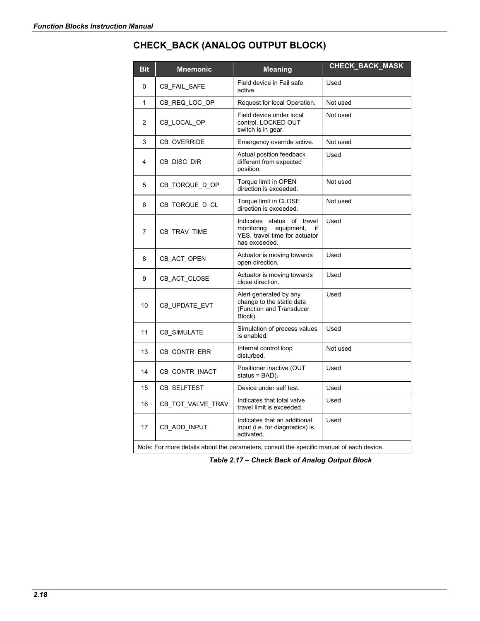# **CHECK\_BACK (ANALOG OUTPUT BLOCK)**

| <b>Bit</b>                                                                               | <b>Mnemonic</b>    | <b>Meaning</b>                                                                                                 | CHECK_BACK_MASK |  |  |  |  |
|------------------------------------------------------------------------------------------|--------------------|----------------------------------------------------------------------------------------------------------------|-----------------|--|--|--|--|
| 0                                                                                        | CB_FAIL_SAFE       | Field device in Fail safe<br>active.                                                                           | Used            |  |  |  |  |
| 1                                                                                        | CB_REQ_LOC_OP      | Request for local Operation.                                                                                   | Not used        |  |  |  |  |
| $\overline{c}$                                                                           | CB LOCAL OP        | Field device under local<br>control, LOCKED OUT<br>switch is in gear.                                          | Not used        |  |  |  |  |
| 3                                                                                        | <b>CB OVERRIDE</b> | Emergency override active.                                                                                     | Not used        |  |  |  |  |
| 4                                                                                        | CB_DISC_DIR        | Actual position feedback<br>different from expected<br>position.                                               | Used            |  |  |  |  |
| 5                                                                                        | CB_TORQUE_D_OP     | Torque limit in OPEN<br>direction is exceeded.                                                                 | Not used        |  |  |  |  |
| 6                                                                                        | CB_TORQUE_D_CL     | Torque limit in CLOSE<br>direction is exceeded.                                                                | Not used        |  |  |  |  |
| 7                                                                                        | CB_TRAV_TIME       | Indicates status of travel<br>monitoring<br>equipment,<br>if<br>YES, travel time for actuator<br>has exceeded. | Used            |  |  |  |  |
| 8                                                                                        | CB ACT OPEN        | Actuator is moving towards<br>open direction.                                                                  | Used            |  |  |  |  |
| 9                                                                                        | CB_ACT_CLOSE       | Actuator is moving towards<br>close direction.                                                                 | Used            |  |  |  |  |
| 10                                                                                       | CB_UPDATE_EVT      | Alert generated by any<br>change to the static data<br>(Function and Transducer<br>Block).                     | Used            |  |  |  |  |
| 11                                                                                       | CB_SIMULATE        | Simulation of process values<br>is enabled.                                                                    | Used            |  |  |  |  |
| 13                                                                                       | CB CONTR ERR       | Internal control loop<br>disturbed.                                                                            | Not used        |  |  |  |  |
| 14                                                                                       | CB_CONTR_INACT     | Positioner inactive (OUT<br>status = BAD).                                                                     | Used            |  |  |  |  |
| 15                                                                                       | CB_SELFTEST        | Device under self test.                                                                                        | Used            |  |  |  |  |
| 16                                                                                       | CB_TOT_VALVE_TRAV  | Indicates that total valve<br>travel limit is exceeded.                                                        | Used            |  |  |  |  |
| 17                                                                                       | CB_ADD_INPUT       | Indicates that an additional<br>input (i.e. for diagnostics) is<br>activated.                                  | Used            |  |  |  |  |
| Note: For more details about the parameters, consult the specific manual of each device. |                    |                                                                                                                |                 |  |  |  |  |

*Table 2.17 – Check Back of Analog Output Block*